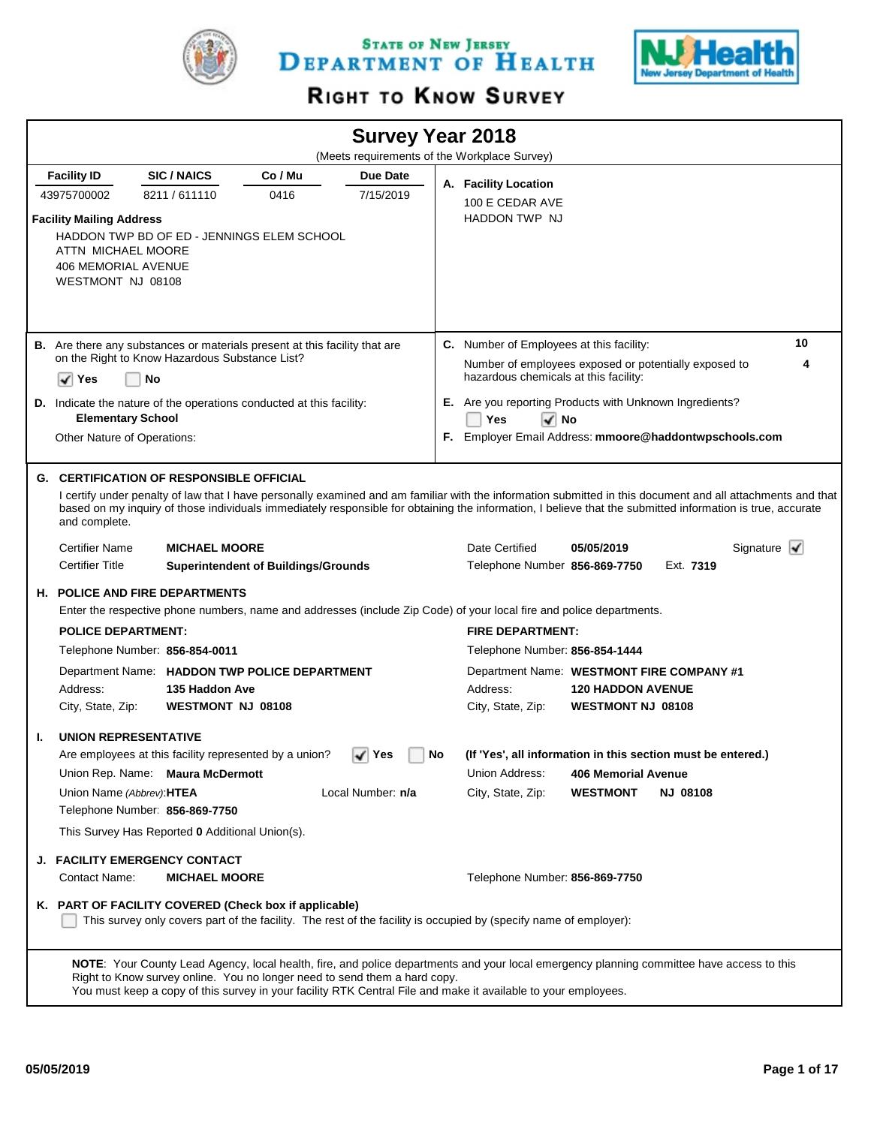

STATE OF NEW JERSEY DEPARTMENT OF HEALTH



# RIGHT TO KNOW SURVEY

|                                                                                                          |                                                                                                                                                                                 |                                            | <b>Survey Year 2018</b>    |    |                                                                                                                                                                                                                                                                                                                           |
|----------------------------------------------------------------------------------------------------------|---------------------------------------------------------------------------------------------------------------------------------------------------------------------------------|--------------------------------------------|----------------------------|----|---------------------------------------------------------------------------------------------------------------------------------------------------------------------------------------------------------------------------------------------------------------------------------------------------------------------------|
|                                                                                                          |                                                                                                                                                                                 |                                            |                            |    | (Meets requirements of the Workplace Survey)                                                                                                                                                                                                                                                                              |
| <b>Facility ID</b>                                                                                       | <b>SIC/NAICS</b>                                                                                                                                                                | Co / Mu                                    | Due Date                   |    | A. Facility Location                                                                                                                                                                                                                                                                                                      |
| 43975700002                                                                                              | 8211/611110                                                                                                                                                                     | 0416                                       | 7/15/2019                  |    | 100 E CEDAR AVE                                                                                                                                                                                                                                                                                                           |
| <b>Facility Mailing Address</b><br>ATTN MICHAEL MOORE<br><b>406 MEMORIAL AVENUE</b><br>WESTMONT NJ 08108 | HADDON TWP BD OF ED - JENNINGS ELEM SCHOOL                                                                                                                                      |                                            |                            |    | <b>HADDON TWP NJ</b>                                                                                                                                                                                                                                                                                                      |
|                                                                                                          | B. Are there any substances or materials present at this facility that are                                                                                                      |                                            |                            |    | 10<br>C. Number of Employees at this facility:                                                                                                                                                                                                                                                                            |
|                                                                                                          | on the Right to Know Hazardous Substance List?                                                                                                                                  |                                            |                            |    | Number of employees exposed or potentially exposed to<br>4                                                                                                                                                                                                                                                                |
| ✓<br>Yes                                                                                                 | No                                                                                                                                                                              |                                            |                            |    | hazardous chemicals at this facility:                                                                                                                                                                                                                                                                                     |
|                                                                                                          | <b>D.</b> Indicate the nature of the operations conducted at this facility:                                                                                                     |                                            |                            |    | E. Are you reporting Products with Unknown Ingredients?                                                                                                                                                                                                                                                                   |
| <b>Elementary School</b>                                                                                 |                                                                                                                                                                                 |                                            |                            |    | Yes<br>l√∣No                                                                                                                                                                                                                                                                                                              |
| Other Nature of Operations:                                                                              |                                                                                                                                                                                 |                                            |                            |    | F. Employer Email Address: mmoore@haddontwpschools.com                                                                                                                                                                                                                                                                    |
| and complete.                                                                                            | <b>G. CERTIFICATION OF RESPONSIBLE OFFICIAL</b>                                                                                                                                 |                                            |                            |    | I certify under penalty of law that I have personally examined and am familiar with the information submitted in this document and all attachments and that<br>based on my inquiry of those individuals immediately responsible for obtaining the information, I believe that the submitted information is true, accurate |
| <b>Certifier Name</b>                                                                                    | <b>MICHAEL MOORE</b>                                                                                                                                                            |                                            |                            |    | Signature $\mathbf{\sqrt{}}$<br>Date Certified<br>05/05/2019                                                                                                                                                                                                                                                              |
| <b>Certifier Title</b>                                                                                   |                                                                                                                                                                                 | <b>Superintendent of Buildings/Grounds</b> |                            |    | Ext. 7319<br>Telephone Number 856-869-7750                                                                                                                                                                                                                                                                                |
|                                                                                                          | <b>H. POLICE AND FIRE DEPARTMENTS</b>                                                                                                                                           |                                            |                            |    |                                                                                                                                                                                                                                                                                                                           |
|                                                                                                          |                                                                                                                                                                                 |                                            |                            |    | Enter the respective phone numbers, name and addresses (include Zip Code) of your local fire and police departments.                                                                                                                                                                                                      |
| <b>POLICE DEPARTMENT:</b>                                                                                |                                                                                                                                                                                 |                                            |                            |    | <b>FIRE DEPARTMENT:</b>                                                                                                                                                                                                                                                                                                   |
|                                                                                                          | Telephone Number: 856-854-0011                                                                                                                                                  |                                            |                            |    | Telephone Number: 856-854-1444                                                                                                                                                                                                                                                                                            |
|                                                                                                          | Department Name: HADDON TWP POLICE DEPARTMENT                                                                                                                                   |                                            |                            |    | Department Name: WESTMONT FIRE COMPANY #1                                                                                                                                                                                                                                                                                 |
| Address:                                                                                                 | 135 Haddon Ave                                                                                                                                                                  |                                            |                            |    | Address:<br><b>120 HADDON AVENUE</b>                                                                                                                                                                                                                                                                                      |
| City, State, Zip:                                                                                        | <b>WESTMONT NJ 08108</b>                                                                                                                                                        |                                            |                            |    | <b>WESTMONT NJ 08108</b><br>City, State, Zip:                                                                                                                                                                                                                                                                             |
| <b>UNION REPRESENTATIVE</b><br>Т.<br>Union Name (Abbrev): HTEA                                           | Are employees at this facility represented by a union?<br>Union Rep. Name: Maura McDermott<br>Telephone Number: 856-869-7750<br>This Survey Has Reported 0 Additional Union(s). |                                            | ∣ Yes<br>Local Number: n/a | No | (If 'Yes', all information in this section must be entered.)<br>Union Address:<br><b>406 Memorial Avenue</b><br>City, State, Zip:<br><b>WESTMONT</b><br><b>NJ 08108</b>                                                                                                                                                   |
|                                                                                                          | <b>J. FACILITY EMERGENCY CONTACT</b>                                                                                                                                            |                                            |                            |    |                                                                                                                                                                                                                                                                                                                           |
| Contact Name:                                                                                            | <b>MICHAEL MOORE</b>                                                                                                                                                            |                                            |                            |    | Telephone Number: 856-869-7750                                                                                                                                                                                                                                                                                            |
|                                                                                                          | K. PART OF FACILITY COVERED (Check box if applicable)                                                                                                                           |                                            |                            |    | This survey only covers part of the facility. The rest of the facility is occupied by (specify name of employer):                                                                                                                                                                                                         |
|                                                                                                          | Right to Know survey online. You no longer need to send them a hard copy.                                                                                                       |                                            |                            |    | NOTE: Your County Lead Agency, local health, fire, and police departments and your local emergency planning committee have access to this<br>You must keep a copy of this survey in your facility RTK Central File and make it available to your employees.                                                               |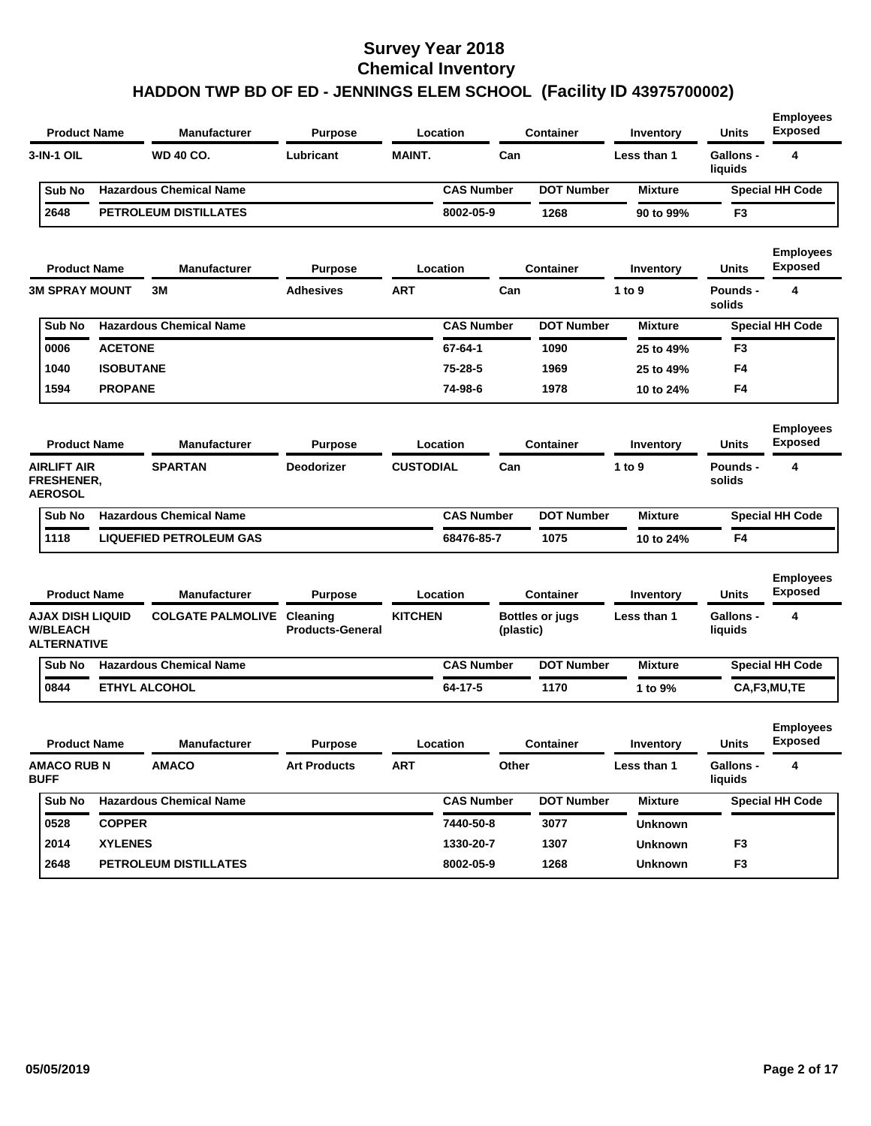| <b>Product Name</b>                                       |                  | <b>Manufacturer</b>            | Purpose                             |                  | Location          |           | Container              | Inventory      | <b>Units</b>                | <b>Employees</b><br><b>Exposed</b> |
|-----------------------------------------------------------|------------------|--------------------------------|-------------------------------------|------------------|-------------------|-----------|------------------------|----------------|-----------------------------|------------------------------------|
| <b>3-IN-1 OIL</b>                                         |                  | <b>WD 40 CO.</b>               | Lubricant                           | <b>MAINT.</b>    |                   | Can       |                        | Less than 1    | <b>Gallons -</b><br>liquids | 4                                  |
| Sub No                                                    |                  | <b>Hazardous Chemical Name</b> |                                     |                  | <b>CAS Number</b> |           | <b>DOT Number</b>      | <b>Mixture</b> |                             | <b>Special HH Code</b>             |
| 2648                                                      |                  | PETROLEUM DISTILLATES          |                                     |                  | 8002-05-9         |           | 1268                   | 90 to 99%      | F3                          |                                    |
| <b>Product Name</b>                                       |                  | <b>Manufacturer</b>            | Purpose                             |                  | Location          |           | <b>Container</b>       | Inventory      | <b>Units</b>                | <b>Employees</b><br><b>Exposed</b> |
| <b>3M SPRAY MOUNT</b>                                     |                  | 3M                             | <b>Adhesives</b>                    | <b>ART</b>       |                   | Can       |                        | 1 to 9         | <b>Pounds -</b><br>solids   | 4                                  |
| Sub No                                                    |                  | <b>Hazardous Chemical Name</b> |                                     |                  | <b>CAS Number</b> |           | <b>DOT Number</b>      | <b>Mixture</b> |                             | <b>Special HH Code</b>             |
| 0006                                                      | <b>ACETONE</b>   |                                |                                     |                  | 67-64-1           |           | 1090                   | 25 to 49%      | F3                          |                                    |
| 1040                                                      | <b>ISOBUTANE</b> |                                |                                     |                  | 75-28-5           |           | 1969                   | 25 to 49%      | F4                          |                                    |
| 1594                                                      | <b>PROPANE</b>   |                                |                                     |                  | 74-98-6           |           | 1978                   | 10 to 24%      | F4                          |                                    |
| <b>Product Name</b>                                       |                  | <b>Manufacturer</b>            | <b>Purpose</b>                      |                  | Location          |           | <b>Container</b>       | Inventory      | <b>Units</b>                | <b>Employees</b><br><b>Exposed</b> |
| <b>AIRLIFT AIR</b><br><b>FRESHENER.</b><br><b>AEROSOL</b> |                  | <b>SPARTAN</b>                 | <b>Deodorizer</b>                   | <b>CUSTODIAL</b> |                   | Can       |                        | 1 to 9         | <b>Pounds -</b><br>solids   | 4                                  |
| Sub No                                                    |                  | <b>Hazardous Chemical Name</b> |                                     |                  | <b>CAS Number</b> |           | <b>DOT Number</b>      | <b>Mixture</b> |                             | <b>Special HH Code</b>             |
| 1118                                                      |                  | <b>LIQUEFIED PETROLEUM GAS</b> |                                     |                  | 68476-85-7        |           | 1075                   | 10 to 24%      | F4                          |                                    |
| <b>Product Name</b>                                       |                  | <b>Manufacturer</b>            | <b>Purpose</b>                      |                  | Location          |           | <b>Container</b>       | Inventory      | <b>Units</b>                | <b>Employees</b><br><b>Exposed</b> |
| AJAX DISH LIQUID<br><b>W/BLEACH</b><br><b>ALTERNATIVE</b> |                  | <b>COLGATE PALMOLIVE</b>       | Cleaning<br><b>Products-General</b> | <b>KITCHEN</b>   |                   | (plastic) | <b>Bottles or jugs</b> | Less than 1    | <b>Gallons -</b><br>liquids | 4                                  |
| Sub No                                                    |                  | <b>Hazardous Chemical Name</b> |                                     |                  | <b>CAS Number</b> |           | <b>DOT Number</b>      | <b>Mixture</b> |                             | <b>Special HH Code</b>             |
| 0844                                                      |                  | <b>ETHYL ALCOHOL</b>           |                                     |                  | 64-17-5           |           | 1170                   | 1 to 9%        |                             | CA,F3,MU,TE                        |
| <b>Product Name</b>                                       |                  | <b>Manufacturer</b>            | <b>Purpose</b>                      |                  | Location          |           | <b>Container</b>       | Inventory      | Units                       | <b>Employees</b><br><b>Exposed</b> |
| <b>AMACO RUB N</b><br><b>BUFF</b>                         |                  | <b>AMACO</b>                   | <b>Art Products</b>                 | <b>ART</b>       |                   | Other     |                        | Less than 1    | Gallons -<br>liquids        | 4                                  |
| Sub No                                                    |                  | <b>Hazardous Chemical Name</b> |                                     |                  | <b>CAS Number</b> |           | <b>DOT Number</b>      | <b>Mixture</b> |                             | <b>Special HH Code</b>             |
| 0528                                                      | <b>COPPER</b>    |                                |                                     |                  | 7440-50-8         |           | 3077                   | <b>Unknown</b> |                             |                                    |
| 2014                                                      | <b>XYLENES</b>   |                                |                                     |                  | 1330-20-7         |           | 1307                   | <b>Unknown</b> | F <sub>3</sub>              |                                    |
| 2648                                                      |                  | PETROLEUM DISTILLATES          |                                     |                  | 8002-05-9         |           | 1268                   | <b>Unknown</b> | F3                          |                                    |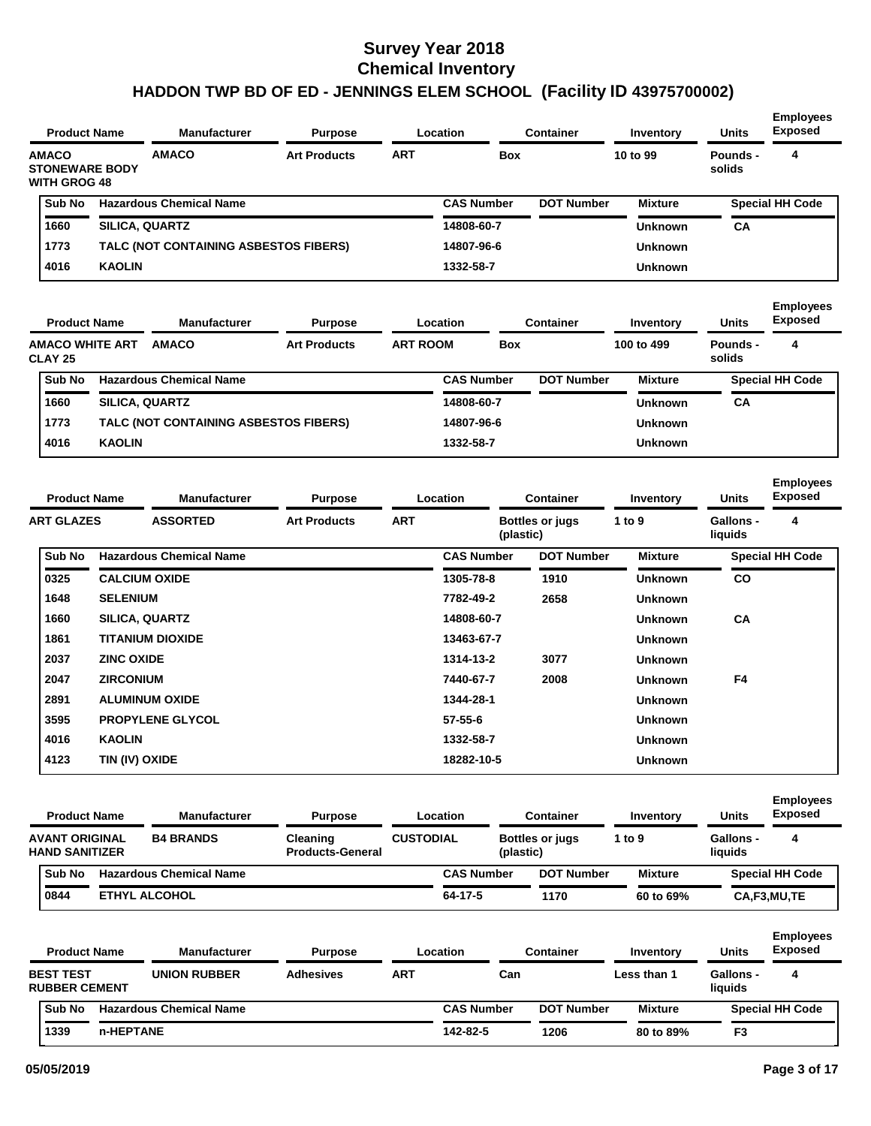| <b>Product Name</b>                                          | <b>Manufacturer</b> | <b>Purpose</b>                        |                     | <b>Container</b><br>Location |                   | Inventory         | <b>Units</b>   | <b>Employees</b><br><b>Exposed</b> |                                    |
|--------------------------------------------------------------|---------------------|---------------------------------------|---------------------|------------------------------|-------------------|-------------------|----------------|------------------------------------|------------------------------------|
| <b>AMACO</b><br><b>STONEWARE BODY</b><br><b>WITH GROG 48</b> |                     | <b>AMACO</b>                          | <b>Art Products</b> | <b>ART</b>                   |                   | <b>Box</b>        | 10 to 99       | Pounds -<br>solids                 | 4                                  |
| Sub No                                                       |                     | <b>Hazardous Chemical Name</b>        |                     |                              | <b>CAS Number</b> | <b>DOT Number</b> | <b>Mixture</b> |                                    | <b>Special HH Code</b>             |
| 1660                                                         |                     | <b>SILICA, QUARTZ</b>                 |                     |                              | 14808-60-7        |                   | Unknown        | <b>CA</b>                          |                                    |
| 1773                                                         |                     | TALC (NOT CONTAINING ASBESTOS FIBERS) |                     |                              | 14807-96-6        |                   | <b>Unknown</b> |                                    |                                    |
| 4016                                                         | <b>KAOLIN</b>       |                                       |                     |                              | 1332-58-7         |                   | Unknown        |                                    |                                    |
| <b>Product Name</b>                                          |                     | <b>Manufacturer</b>                   | <b>Purpose</b>      |                              | Location          | <b>Container</b>  | Inventory      | <b>Units</b>                       | <b>Employees</b><br><b>Exposed</b> |
| <b>AMACO WHITE ART</b><br><b>CLAVOE</b>                      |                     | <b>AMACO</b>                          | <b>Art Products</b> | <b>ART ROOM</b>              |                   | <b>Box</b>        | 100 to 499     | Pounds -<br>الملائلات              | 4                                  |

| <b>CLAY 25</b> |                                       |                   |                   | solids         |                        |  |  |
|----------------|---------------------------------------|-------------------|-------------------|----------------|------------------------|--|--|
| Sub No         | <b>Hazardous Chemical Name</b>        | <b>CAS Number</b> | <b>DOT Number</b> | <b>Mixture</b> | <b>Special HH Code</b> |  |  |
| 1660           | <b>SILICA, QUARTZ</b>                 | 14808-60-7        |                   | Unknown        | CA                     |  |  |
| 1773           | TALC (NOT CONTAINING ASBESTOS FIBERS) | 14807-96-6        |                   | <b>Unknown</b> |                        |  |  |
| 4016           | <b>KAOLIN</b>                         | 1332-58-7         |                   | <b>Unknown</b> |                        |  |  |

|                   | <b>Product Name</b> | <b>Manufacturer</b><br><b>Purpose</b><br>Location |                     | <b>Container</b> | Inventory         | <b>Units</b>                        | <b>Employees</b><br><b>Exposed</b> |                             |                        |
|-------------------|---------------------|---------------------------------------------------|---------------------|------------------|-------------------|-------------------------------------|------------------------------------|-----------------------------|------------------------|
| <b>ART GLAZES</b> |                     | <b>ASSORTED</b>                                   | <b>Art Products</b> | <b>ART</b>       |                   | <b>Bottles or jugs</b><br>(plastic) | 1 to $9$                           | <b>Gallons -</b><br>liquids | 4                      |
| Sub No            |                     | <b>Hazardous Chemical Name</b>                    |                     |                  | <b>CAS Number</b> | <b>DOT Number</b>                   | <b>Mixture</b>                     |                             | <b>Special HH Code</b> |
| 0325              |                     | <b>CALCIUM OXIDE</b>                              |                     |                  | 1305-78-8         | 1910                                | <b>Unknown</b>                     | CO                          |                        |
| 1648              | <b>SELENIUM</b>     |                                                   |                     |                  | 7782-49-2         | 2658                                | <b>Unknown</b>                     |                             |                        |
| 1660              |                     | <b>SILICA, QUARTZ</b>                             |                     |                  | 14808-60-7        |                                     | <b>Unknown</b>                     | CA                          |                        |
| 1861              |                     | <b>TITANIUM DIOXIDE</b>                           |                     |                  | 13463-67-7        |                                     | <b>Unknown</b>                     |                             |                        |
| 2037              | <b>ZINC OXIDE</b>   |                                                   |                     |                  | 1314-13-2         | 3077                                | <b>Unknown</b>                     |                             |                        |
| 2047              | <b>ZIRCONIUM</b>    |                                                   |                     |                  | 7440-67-7         | 2008                                | <b>Unknown</b>                     | F4                          |                        |
| 2891              |                     | <b>ALUMINUM OXIDE</b>                             |                     |                  | 1344-28-1         |                                     | <b>Unknown</b>                     |                             |                        |
| 3595              |                     | <b>PROPYLENE GLYCOL</b>                           |                     |                  | $57 - 55 - 6$     |                                     | <b>Unknown</b>                     |                             |                        |
| 4016              | <b>KAOLIN</b>       |                                                   |                     |                  | 1332-58-7         |                                     | <b>Unknown</b>                     |                             |                        |
| 4123              | TIN (IV) OXIDE      |                                                   |                     |                  | 18282-10-5        |                                     | <b>Unknown</b>                     |                             |                        |

|  | <b>Product Name</b><br><b>B4 BRANDS</b><br><b>AVANT ORIGINAL</b><br><b>HAND SANITIZER</b> |  | <b>Manufacturer</b><br><b>Purpose</b> |                                     |                  | Location          |  | <b>Container</b>                    |  | Inventory      | <b>Units</b>                | <b>Employees</b><br><b>Exposed</b> |
|--|-------------------------------------------------------------------------------------------|--|---------------------------------------|-------------------------------------|------------------|-------------------|--|-------------------------------------|--|----------------|-----------------------------|------------------------------------|
|  |                                                                                           |  |                                       | Cleaning<br><b>Products-General</b> | <b>CUSTODIAL</b> |                   |  | <b>Bottles or jugs</b><br>(plastic) |  | 1 to 9         | <b>Gallons -</b><br>liquids | 4                                  |
|  | <b>Sub No</b>                                                                             |  | <b>Hazardous Chemical Name</b>        |                                     |                  | <b>CAS Number</b> |  | <b>DOT Number</b>                   |  | <b>Mixture</b> |                             | <b>Special HH Code</b>             |
|  | 0844                                                                                      |  | <b>ETHYL ALCOHOL</b>                  |                                     |                  | 64-17-5           |  | 1170                                |  | 60 to 69%      |                             | CA,F3,MU,TE                        |

| <b>Product Name</b>                      | <b>Manufacturer</b><br><b>Purpose</b> |                                | Location         | Container |                   | <b>Units</b>      | <b>Employees</b><br><b>Exposed</b> |                             |                        |
|------------------------------------------|---------------------------------------|--------------------------------|------------------|-----------|-------------------|-------------------|------------------------------------|-----------------------------|------------------------|
| <b>BEST TEST</b><br><b>RUBBER CEMENT</b> |                                       | <b>UNION RUBBER</b>            | <b>Adhesives</b> | ART       | Can               |                   | Less than 1                        | <b>Gallons -</b><br>liquids | 4                      |
| <b>Sub No</b>                            |                                       | <b>Hazardous Chemical Name</b> |                  |           | <b>CAS Number</b> | <b>DOT Number</b> |                                    |                             | <b>Special HH Code</b> |
| 1339                                     | n-HEPTANE                             |                                |                  |           | 142-82-5          | 1206              | 80 to 89%                          | F <sub>3</sub>              |                        |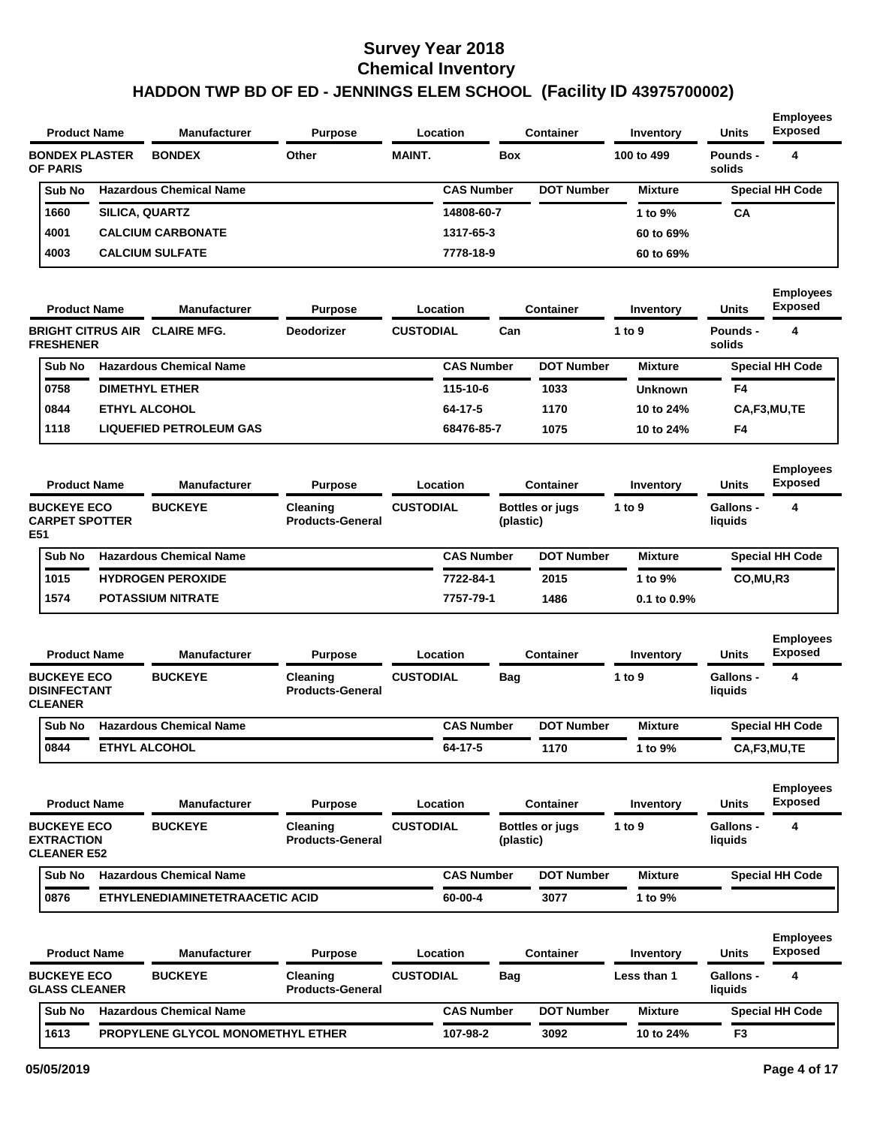| <b>Product Name</b>                                           |                | Manufacturer                      | <b>Purpose</b>                      | Location         |                   |            | <b>Container</b>       | Inventory        | <b>Units</b>                | <b>Employees</b><br><b>Exposed</b> |
|---------------------------------------------------------------|----------------|-----------------------------------|-------------------------------------|------------------|-------------------|------------|------------------------|------------------|-----------------------------|------------------------------------|
| <b>BONDEX PLASTER</b><br><b>OF PARIS</b>                      |                | <b>BONDEX</b>                     | Other                               | <b>MAINT.</b>    |                   | <b>Box</b> |                        | 100 to 499       | <b>Pounds -</b><br>solids   | 4                                  |
| Sub No                                                        |                | <b>Hazardous Chemical Name</b>    |                                     |                  | <b>CAS Number</b> |            | <b>DOT Number</b>      | <b>Mixture</b>   |                             | <b>Special HH Code</b>             |
| 1660                                                          | SILICA, QUARTZ |                                   |                                     |                  | 14808-60-7        |            |                        | 1 to 9%          | <b>CA</b>                   |                                    |
| 4001                                                          |                | <b>CALCIUM CARBONATE</b>          |                                     |                  | 1317-65-3         |            |                        | 60 to 69%        |                             |                                    |
| 4003                                                          |                | <b>CALCIUM SULFATE</b>            |                                     |                  | 7778-18-9         |            |                        | 60 to 69%        |                             |                                    |
| <b>Product Name</b>                                           |                | Manufacturer                      | <b>Purpose</b>                      | Location         |                   |            | <b>Container</b>       | Inventory        | <b>Units</b>                | <b>Employees</b><br><b>Exposed</b> |
| <b>BRIGHT CITRUS AIR</b><br><b>FRESHENER</b>                  |                | <b>CLAIRE MFG.</b>                | <b>Deodorizer</b>                   | <b>CUSTODIAL</b> |                   | Can        |                        | 1 to $9$         | <b>Pounds -</b><br>solids   | 4                                  |
| Sub No                                                        |                | <b>Hazardous Chemical Name</b>    |                                     |                  | <b>CAS Number</b> |            | <b>DOT Number</b>      | <b>Mixture</b>   |                             | <b>Special HH Code</b>             |
| 0758                                                          |                | <b>DIMETHYL ETHER</b>             |                                     |                  | 115-10-6          |            | 1033                   | Unknown          | F4                          |                                    |
| 0844                                                          |                | <b>ETHYL ALCOHOL</b>              |                                     |                  | 64-17-5           |            | 1170                   | 10 to 24%        |                             | CA,F3,MU,TE                        |
| 1118                                                          |                | <b>LIQUEFIED PETROLEUM GAS</b>    |                                     |                  | 68476-85-7        |            | 1075                   | 10 to 24%        | F4                          |                                    |
| <b>Product Name</b>                                           |                | <b>Manufacturer</b>               | <b>Purpose</b>                      | Location         |                   |            | <b>Container</b>       | Inventory        | <b>Units</b>                | <b>Employees</b><br><b>Exposed</b> |
| <b>BUCKEYE ECO</b><br><b>CARPET SPOTTER</b><br>E51            |                | <b>BUCKEYE</b>                    | Cleaning<br><b>Products-General</b> | <b>CUSTODIAL</b> |                   | (plastic)  | <b>Bottles or jugs</b> | 1 to 9           | <b>Gallons -</b><br>liquids | 4                                  |
| Sub No                                                        |                | <b>Hazardous Chemical Name</b>    |                                     |                  | <b>CAS Number</b> |            | <b>DOT Number</b>      | <b>Mixture</b>   |                             | <b>Special HH Code</b>             |
| 1015                                                          |                | <b>HYDROGEN PEROXIDE</b>          |                                     |                  | 7722-84-1         |            | 2015                   | 1 to 9%          | CO, MU, R3                  |                                    |
| 1574                                                          |                | <b>POTASSIUM NITRATE</b>          |                                     |                  | 7757-79-1         |            | 1486                   | $0.1$ to $0.9\%$ |                             |                                    |
| <b>Product Name</b>                                           |                | <b>Manufacturer</b>               | <b>Purpose</b>                      | Location         |                   |            | <b>Container</b>       | Inventory        | Units                       | <b>Employees</b><br>Exposed        |
| <b>BUCKEYE ECO</b><br><b>DISINFECTANT</b><br><b>CLEANER</b>   |                | <b>BUCKEYE</b>                    | Cleaning<br><b>Products-General</b> | <b>CUSTODIAL</b> |                   | <b>Bag</b> |                        | 1 to $9$         | <b>Gallons -</b><br>liquids | 4                                  |
| Sub No                                                        |                | <b>Hazardous Chemical Name</b>    |                                     |                  | <b>CAS Number</b> |            | <b>DOT Number</b>      | <b>Mixture</b>   |                             | <b>Special HH Code</b>             |
| 0844                                                          |                | <b>ETHYL ALCOHOL</b>              |                                     |                  | 64-17-5           |            | 1170                   | 1 to 9%          |                             | CA,F3,MU,TE                        |
| <b>Product Name</b>                                           |                | <b>Manufacturer</b>               | <b>Purpose</b>                      | Location         |                   |            | <b>Container</b>       | Inventory        | <b>Units</b>                | <b>Employees</b><br><b>Exposed</b> |
| <b>BUCKEYE ECO</b><br><b>EXTRACTION</b><br><b>CLEANER E52</b> |                | <b>BUCKEYE</b>                    | Cleaning<br><b>Products-General</b> | <b>CUSTODIAL</b> |                   | (plastic)  | <b>Bottles or jugs</b> | 1 to $9$         | Gallons -<br>liquids        | 4                                  |
| Sub No                                                        |                | <b>Hazardous Chemical Name</b>    |                                     |                  | <b>CAS Number</b> |            | <b>DOT Number</b>      | <b>Mixture</b>   |                             | <b>Special HH Code</b>             |
| 0876                                                          |                | ETHYLENEDIAMINETETRAACETIC ACID   |                                     |                  | 60-00-4           |            | 3077                   | 1 to 9%          |                             |                                    |
| <b>Product Name</b>                                           |                | <b>Manufacturer</b>               | <b>Purpose</b>                      | Location         |                   |            | <b>Container</b>       | Inventory        | <b>Units</b>                | <b>Employees</b><br><b>Exposed</b> |
| <b>BUCKEYE ECO</b><br><b>GLASS CLEANER</b>                    |                | <b>BUCKEYE</b>                    | Cleaning<br><b>Products-General</b> | <b>CUSTODIAL</b> |                   | Bag        |                        | Less than 1      | <b>Gallons -</b><br>liquids | 4                                  |
| Sub No                                                        |                | <b>Hazardous Chemical Name</b>    |                                     |                  | <b>CAS Number</b> |            | <b>DOT Number</b>      | <b>Mixture</b>   |                             | <b>Special HH Code</b>             |
| 1613                                                          |                | PROPYLENE GLYCOL MONOMETHYL ETHER |                                     |                  | 107-98-2          |            | 3092                   | 10 to 24%        | F3                          |                                    |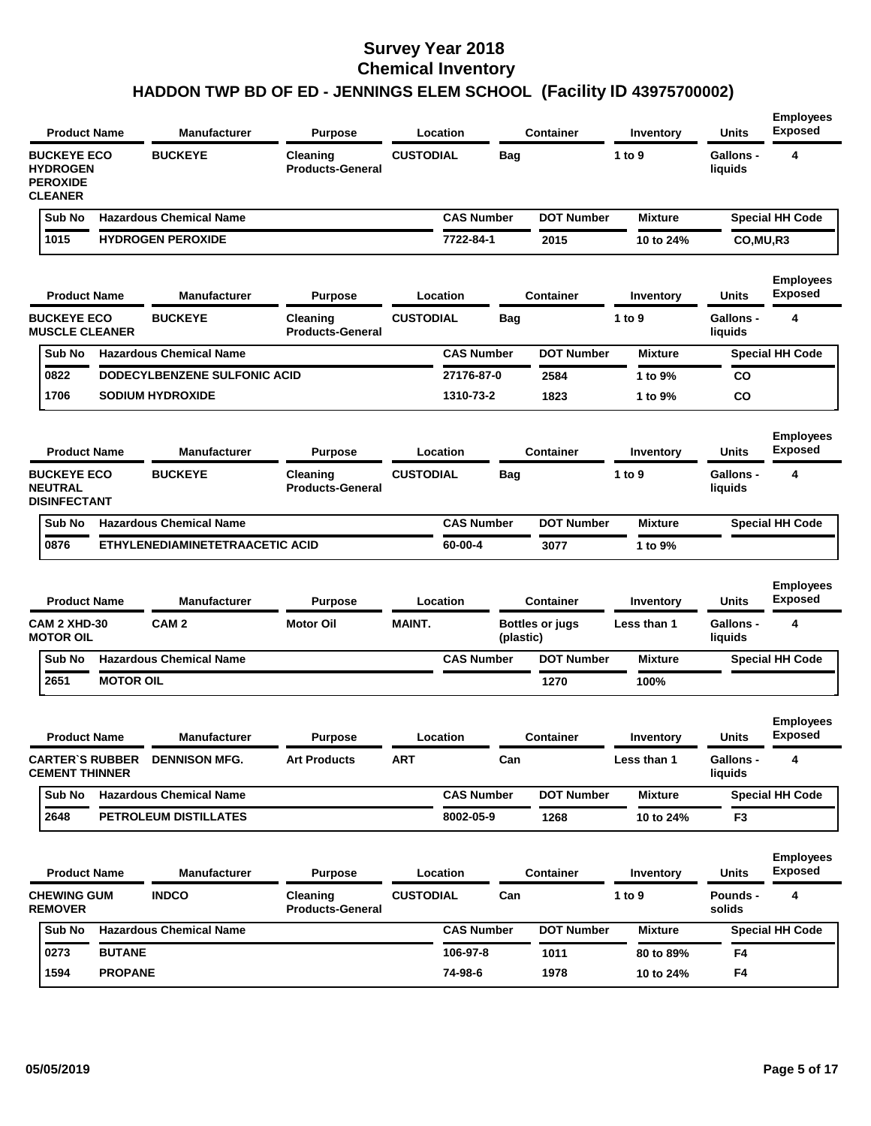| <b>Product Name</b>                                                        |                        | <b>Manufacturer</b>                 | <b>Purpose</b>                      | Location         |                   | <b>Container</b>       | Inventory      | <b>Units</b>                | <b>Employees</b><br><b>Exposed</b> |
|----------------------------------------------------------------------------|------------------------|-------------------------------------|-------------------------------------|------------------|-------------------|------------------------|----------------|-----------------------------|------------------------------------|
| <b>BUCKEYE ECO</b><br><b>HYDROGEN</b><br><b>PEROXIDE</b><br><b>CLEANER</b> |                        | <b>BUCKEYE</b>                      | Cleaning<br><b>Products-General</b> | <b>CUSTODIAL</b> | <b>Bag</b>        |                        | 1 to 9         | <b>Gallons -</b><br>liquids | 4                                  |
| Sub No                                                                     |                        | <b>Hazardous Chemical Name</b>      |                                     |                  | <b>CAS Number</b> | <b>DOT Number</b>      | <b>Mixture</b> |                             | <b>Special HH Code</b>             |
| 1015                                                                       |                        | <b>HYDROGEN PEROXIDE</b>            |                                     |                  | 7722-84-1         | 2015                   | 10 to 24%      | CO, MU, R3                  |                                    |
|                                                                            | <b>Product Name</b>    | <b>Manufacturer</b>                 | <b>Purpose</b>                      | Location         |                   | Container              | Inventory      | Units                       | <b>Employees</b><br><b>Exposed</b> |
| <b>BUCKEYE ECO</b><br><b>MUSCLE CLEANER</b>                                |                        | <b>BUCKEYE</b>                      | Cleaning<br><b>Products-General</b> | <b>CUSTODIAL</b> | <b>Bag</b>        |                        | 1 to 9         | Gallons -<br>liquids        | 4                                  |
| Sub No                                                                     |                        | <b>Hazardous Chemical Name</b>      |                                     |                  | <b>CAS Number</b> | <b>DOT Number</b>      | <b>Mixture</b> |                             | <b>Special HH Code</b>             |
| 0822                                                                       |                        | <b>DODECYLBENZENE SULFONIC ACID</b> |                                     |                  | 27176-87-0        | 2584                   | 1 to 9%        | CO                          |                                    |
| 1706                                                                       |                        | <b>SODIUM HYDROXIDE</b>             |                                     |                  | 1310-73-2         | 1823                   | 1 to 9%        | CO                          |                                    |
|                                                                            | <b>Product Name</b>    | <b>Manufacturer</b>                 | <b>Purpose</b>                      | Location         |                   | Container              | Inventory      | Units                       | <b>Employees</b><br><b>Exposed</b> |
| <b>BUCKEYE ECO</b><br><b>NEUTRAL</b><br><b>DISINFECTANT</b>                |                        | <b>BUCKEYE</b>                      | Cleaning<br><b>Products-General</b> | <b>CUSTODIAL</b> | <b>Bag</b>        |                        | 1 to 9         | <b>Gallons -</b><br>liquids | 4                                  |
| Sub No                                                                     |                        | <b>Hazardous Chemical Name</b>      |                                     |                  | <b>CAS Number</b> | <b>DOT Number</b>      | <b>Mixture</b> |                             | <b>Special HH Code</b>             |
| 0876                                                                       |                        | ETHYLENEDIAMINETETRAACETIC ACID     |                                     |                  | 60-00-4           | 3077                   | 1 to 9%        |                             |                                    |
|                                                                            | <b>Product Name</b>    | <b>Manufacturer</b>                 | <b>Purpose</b>                      | Location         |                   | Container              | Inventory      | <b>Units</b>                | <b>Employees</b><br><b>Exposed</b> |
| CAM 2 XHD-30<br><b>MOTOR OIL</b>                                           |                        | CAM <sub>2</sub>                    | <b>Motor Oil</b>                    | <b>MAINT.</b>    | (plastic)         | <b>Bottles or jugs</b> | Less than 1    | <b>Gallons -</b><br>liquids | 4                                  |
| Sub No                                                                     |                        | <b>Hazardous Chemical Name</b>      |                                     |                  | <b>CAS Number</b> | <b>DOT Number</b>      | <b>Mixture</b> |                             | Special HH Code                    |
| 2651                                                                       | <b>MOTOR OIL</b>       |                                     |                                     |                  |                   | 1270                   | 100%           |                             |                                    |
|                                                                            | <b>Product Name</b>    | <b>Manufacturer</b>                 | <b>Purpose</b>                      | Location         |                   | Container              | Inventory      | <b>Units</b>                | <b>Employees</b><br><b>Exposed</b> |
| <b>CEMENT THINNER</b>                                                      | <b>CARTER`S RUBBER</b> | <b>DENNISON MFG.</b>                | Art Products                        | <b>ART</b>       | Can               |                        | Less than 1    | Gallons -<br>liquids        | 4                                  |
| Sub No                                                                     |                        | <b>Hazardous Chemical Name</b>      |                                     |                  | <b>CAS Number</b> | <b>DOT Number</b>      | <b>Mixture</b> |                             | <b>Special HH Code</b>             |
| 2648                                                                       |                        | PETROLEUM DISTILLATES               |                                     |                  | 8002-05-9         | 1268                   | 10 to 24%      | F <sub>3</sub>              |                                    |
|                                                                            | <b>Product Name</b>    | <b>Manufacturer</b>                 | <b>Purpose</b>                      | Location         |                   | <b>Container</b>       | Inventory      | <b>Units</b>                | <b>Employees</b><br><b>Exposed</b> |
| <b>CHEWING GUM</b><br><b>REMOVER</b>                                       |                        | <b>INDCO</b>                        | Cleaning<br><b>Products-General</b> | <b>CUSTODIAL</b> | Can               |                        | 1 to 9         | <b>Pounds -</b><br>solids   | 4                                  |
| Sub No                                                                     |                        | <b>Hazardous Chemical Name</b>      |                                     |                  | <b>CAS Number</b> | <b>DOT Number</b>      | <b>Mixture</b> |                             | <b>Special HH Code</b>             |
|                                                                            |                        |                                     |                                     |                  |                   |                        |                |                             |                                    |
| 0273                                                                       | <b>BUTANE</b>          |                                     |                                     |                  | 106-97-8          | 1011                   | 80 to 89%      | F4                          |                                    |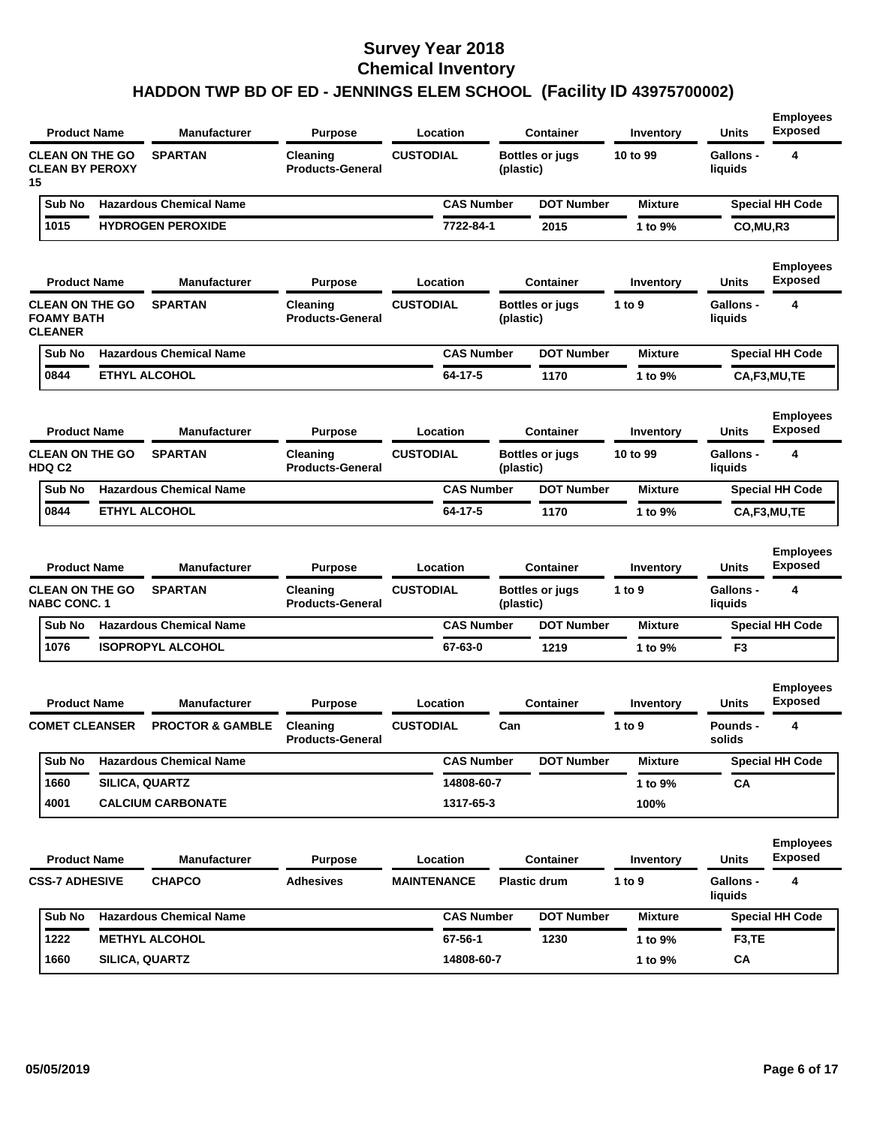| <b>Product Name</b>                                           |                | <b>Manufacturer</b>            | <b>Purpose</b>                      | Location           |           | <b>Container</b>       | Inventory      | <b>Units</b>                | <b>Employees</b><br><b>Exposed</b> |
|---------------------------------------------------------------|----------------|--------------------------------|-------------------------------------|--------------------|-----------|------------------------|----------------|-----------------------------|------------------------------------|
| <b>CLEAN ON THE GO</b><br><b>CLEAN BY PEROXY</b><br>15        |                | <b>SPARTAN</b>                 | Cleaning<br><b>Products-General</b> | <b>CUSTODIAL</b>   | (plastic) | <b>Bottles or jugs</b> | 10 to 99       | <b>Gallons -</b><br>liquids | 4                                  |
| Sub No                                                        |                | <b>Hazardous Chemical Name</b> |                                     | <b>CAS Number</b>  |           | <b>DOT Number</b>      | <b>Mixture</b> |                             | <b>Special HH Code</b>             |
| 1015                                                          |                | <b>HYDROGEN PEROXIDE</b>       |                                     | 7722-84-1          |           | 2015                   | 1 to 9%        | CO, MU, R3                  |                                    |
| <b>Product Name</b>                                           |                | <b>Manufacturer</b>            | <b>Purpose</b>                      | Location           |           | <b>Container</b>       | Inventory      | Units                       | <b>Employees</b><br><b>Exposed</b> |
| <b>CLEAN ON THE GO</b><br><b>FOAMY BATH</b><br><b>CLEANER</b> |                | <b>SPARTAN</b>                 | Cleaning<br><b>Products-General</b> | <b>CUSTODIAL</b>   | (plastic) | <b>Bottles or jugs</b> | 1 to 9         | Gallons -<br>liquids        | 4                                  |
| Sub No                                                        |                | <b>Hazardous Chemical Name</b> |                                     | <b>CAS Number</b>  |           | <b>DOT Number</b>      | <b>Mixture</b> |                             | <b>Special HH Code</b>             |
| 0844                                                          |                | <b>ETHYL ALCOHOL</b>           |                                     | 64-17-5            |           | 1170                   | 1 to 9%        |                             | CA,F3,MU,TE                        |
| <b>Product Name</b>                                           |                | <b>Manufacturer</b>            | <b>Purpose</b>                      | Location           |           | <b>Container</b>       | Inventory      | Units                       | <b>Employees</b><br><b>Exposed</b> |
| <b>CLEAN ON THE GO</b><br><b>HDQ C2</b>                       |                | <b>SPARTAN</b>                 | Cleaning<br><b>Products-General</b> | <b>CUSTODIAL</b>   | (plastic) | <b>Bottles or jugs</b> | 10 to 99       | Gallons -<br>liquids        | 4                                  |
| Sub No                                                        |                | <b>Hazardous Chemical Name</b> |                                     | <b>CAS Number</b>  |           | <b>DOT Number</b>      | <b>Mixture</b> |                             | <b>Special HH Code</b>             |
| 0844                                                          |                | <b>ETHYL ALCOHOL</b>           |                                     | 64-17-5            |           | 1170                   | 1 to 9%        |                             | CA,F3,MU,TE                        |
| <b>Product Name</b>                                           |                | <b>Manufacturer</b>            | <b>Purpose</b>                      | Location           |           | <b>Container</b>       | Inventory      | Units                       | <b>Employees</b><br><b>Exposed</b> |
| <b>CLEAN ON THE GO</b><br><b>NABC CONC. 1</b>                 |                | <b>SPARTAN</b>                 | Cleaning<br><b>Products-General</b> | <b>CUSTODIAL</b>   | (plastic) | <b>Bottles or jugs</b> | 1 to 9         | <b>Gallons -</b><br>liquids | 4                                  |
| Sub No                                                        |                | <b>Hazardous Chemical Name</b> |                                     | <b>CAS Number</b>  |           | <b>DOT Number</b>      | <b>Mixture</b> |                             | <b>Special HH Code</b>             |
| 1076                                                          |                | <b>ISOPROPYL ALCOHOL</b>       |                                     | 67-63-0            |           | 1219                   | 1 to 9%        | F <sub>3</sub>              |                                    |
| <b>Product Name</b>                                           |                | <b>Manufacturer</b>            | <b>Purpose</b>                      | Location           |           | <b>Container</b>       | Inventory      | Units                       | <b>Employees</b><br><b>Exposed</b> |
| <b>COMET CLEANSER</b>                                         |                | <b>PROCTOR &amp; GAMBLE</b>    | Cleaning<br><b>Products-General</b> | <b>CUSTODIAL</b>   | Can       |                        | 1 to 9         | <b>Pounds -</b><br>solids   | 4                                  |
| Sub No                                                        |                | <b>Hazardous Chemical Name</b> |                                     | <b>CAS Number</b>  |           | <b>DOT Number</b>      | <b>Mixture</b> |                             | <b>Special HH Code</b>             |
| 1660                                                          | SILICA, QUARTZ |                                |                                     | 14808-60-7         |           |                        | 1 to 9%        | <b>CA</b>                   |                                    |
| 4001                                                          |                | <b>CALCIUM CARBONATE</b>       |                                     | 1317-65-3          |           |                        | 100%           |                             |                                    |
| <b>Product Name</b>                                           |                | <b>Manufacturer</b>            | <b>Purpose</b>                      | Location           |           | <b>Container</b>       | Inventory      | <b>Units</b>                | <b>Employees</b><br><b>Exposed</b> |
|                                                               |                | <b>CHAPCO</b>                  | <b>Adhesives</b>                    | <b>MAINTENANCE</b> |           | <b>Plastic drum</b>    | 1 to $9$       | Gallons -<br>liquids        | 4                                  |
| <b>CSS-7 ADHESIVE</b>                                         |                |                                |                                     |                    |           |                        |                |                             |                                    |
| Sub No                                                        |                | <b>Hazardous Chemical Name</b> |                                     | <b>CAS Number</b>  |           | <b>DOT Number</b>      | <b>Mixture</b> |                             | <b>Special HH Code</b>             |
| 1222                                                          |                | <b>METHYL ALCOHOL</b>          |                                     | 67-56-1            |           | 1230                   | 1 to 9%        | F <sub>3</sub> ,TE          |                                    |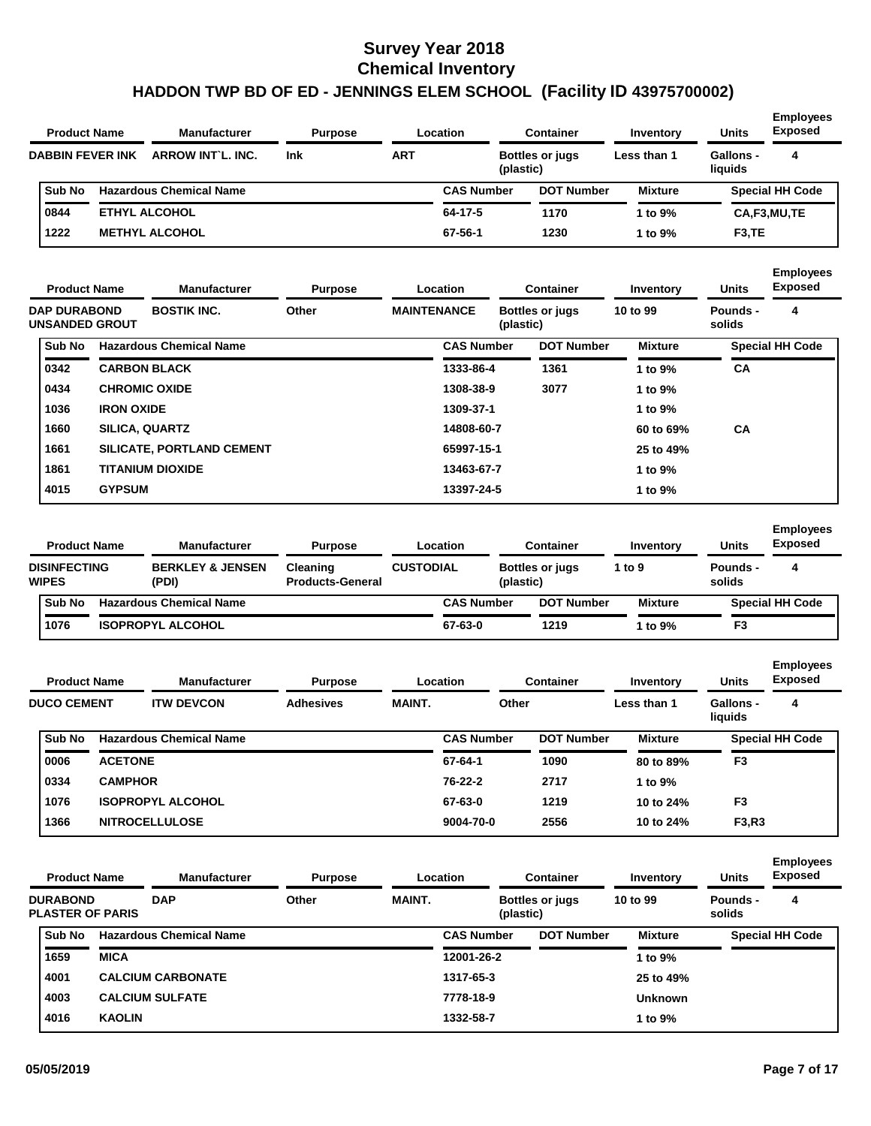| <b>Product Name</b><br><b>DABBIN FEVER INK</b> |        | <b>Manufacturer</b><br><b>Purpose</b> |     | Location | <b>Container</b>  |                        | <b>Units</b>   | <b>Employees</b><br><b>Exposed</b> |                        |
|------------------------------------------------|--------|---------------------------------------|-----|----------|-------------------|------------------------|----------------|------------------------------------|------------------------|
|                                                |        | ARROW INT L. INC.                     | Ink | ART      | (plastic)         | <b>Bottles or jugs</b> | Less than 1    | <b>Gallons -</b><br>liquids        | 4                      |
|                                                | Sub No | <b>Hazardous Chemical Name</b>        |     |          | <b>CAS Number</b> | <b>DOT Number</b>      | <b>Mixture</b> |                                    | <b>Special HH Code</b> |
|                                                | 0844   | <b>ETHYL ALCOHOL</b>                  |     |          | 64-17-5           | 1170                   | 1 to 9%        |                                    | CA,F3,MU,TE            |
|                                                | 1222   | <b>METHYL ALCOHOL</b>                 |     |          | 67-56-1           | 1230                   | 1 to $9\%$     | F <sub>3</sub> .TE                 |                        |

| <b>Product Name</b>                          |                       | <b>Manufacturer</b>              | <b>Purpose</b> | <b>Container</b><br>Location |                    | Inventory | <b>Units</b>           | <b>Employees</b><br><b>Exposed</b> |                    |                        |
|----------------------------------------------|-----------------------|----------------------------------|----------------|------------------------------|--------------------|-----------|------------------------|------------------------------------|--------------------|------------------------|
| <b>DAP DURABOND</b><br><b>UNSANDED GROUT</b> |                       | <b>BOSTIK INC.</b>               | Other          |                              | <b>MAINTENANCE</b> | (plastic) | <b>Bottles or jugs</b> | 10 to 99                           | Pounds -<br>solids | 4                      |
| Sub No                                       |                       | <b>Hazardous Chemical Name</b>   |                |                              | <b>CAS Number</b>  |           | <b>DOT Number</b>      | <b>Mixture</b>                     |                    | <b>Special HH Code</b> |
| 0342                                         |                       | <b>CARBON BLACK</b>              |                |                              | 1333-86-4          |           | 1361                   | 1 to 9%                            | <b>CA</b>          |                        |
| 0434                                         | <b>CHROMIC OXIDE</b>  |                                  |                |                              | 1308-38-9          |           | 3077                   | 1 to 9%                            |                    |                        |
| 1036                                         | <b>IRON OXIDE</b>     |                                  |                |                              | 1309-37-1          |           |                        | 1 to 9%                            |                    |                        |
| 1660                                         | <b>SILICA, QUARTZ</b> |                                  |                |                              | 14808-60-7         |           |                        | 60 to 69%                          | CA                 |                        |
| 1661                                         |                       | <b>SILICATE, PORTLAND CEMENT</b> |                |                              | 65997-15-1         |           |                        | 25 to 49%                          |                    |                        |
| 1861                                         |                       | <b>TITANIUM DIOXIDE</b>          |                |                              | 13463-67-7         |           |                        | 1 to 9%                            |                    |                        |
| 4015                                         | <b>GYPSUM</b>         |                                  |                |                              | 13397-24-5         |           |                        | 1 to 9%                            |                    |                        |
|                                              |                       |                                  |                |                              |                    |           |                        |                                    |                    |                        |

| <b>Product Name</b>                 | <b>Manufacturer</b> | <b>Purpose</b>                       | Location                            |                  | <b>Container</b>  | Inventory                           | <b>Units</b>   | <b>Employees</b><br><b>Exposed</b> |                        |
|-------------------------------------|---------------------|--------------------------------------|-------------------------------------|------------------|-------------------|-------------------------------------|----------------|------------------------------------|------------------------|
| <b>DISINFECTING</b><br><b>WIPES</b> |                     | <b>BERKLEY &amp; JENSEN</b><br>(PDI) | Cleaning<br><b>Products-General</b> | <b>CUSTODIAL</b> |                   | <b>Bottles or jugs</b><br>(plastic) | 1 to 9         | Pounds -<br>solids                 | 4                      |
| <b>Sub No</b>                       |                     | <b>Hazardous Chemical Name</b>       |                                     |                  | <b>CAS Number</b> | <b>DOT Number</b>                   | <b>Mixture</b> |                                    | <b>Special HH Code</b> |
| 1076                                |                     | <b>ISOPROPYL ALCOHOL</b>             |                                     |                  | 67-63-0           | 1219                                | 1 to 9%        | F <sub>3</sub>                     |                        |

| <b>Product Name</b> | <b>Manufacturer</b> | <b>Purpose</b> |                                                        | Location | <b>Container</b> | Inventory         | <b>Units</b>      | <b>Employees</b><br><b>Exposed</b> |                |                        |
|---------------------|---------------------|----------------|--------------------------------------------------------|----------|------------------|-------------------|-------------------|------------------------------------|----------------|------------------------|
|                     | <b>DUCO CEMENT</b>  |                | <b>Adhesives</b><br><b>MAINT.</b><br><b>ITW DEVCON</b> |          | Other            |                   | Less than 1       | Gallons -<br>liquids               | 4              |                        |
|                     | Sub No              |                | <b>Hazardous Chemical Name</b>                         |          |                  | <b>CAS Number</b> | <b>DOT Number</b> | <b>Mixture</b>                     |                | <b>Special HH Code</b> |
|                     | 0006                | <b>ACETONE</b> |                                                        |          |                  | 67-64-1           | 1090              | 80 to 89%                          | F <sub>3</sub> |                        |
|                     | 0334                | <b>CAMPHOR</b> |                                                        |          |                  | 76-22-2           | 2717              | 1 to 9%                            |                |                        |
|                     | 1076                |                | <b>ISOPROPYL ALCOHOL</b>                               |          |                  | 67-63-0           | 1219              | 10 to 24%                          | F <sub>3</sub> |                        |
|                     | 1366                |                | <b>NITROCELLULOSE</b>                                  |          |                  | 9004-70-0         | 2556              | 10 to 24%                          | <b>F3,R3</b>   |                        |

| <b>Product Name</b>                                  |               | <b>Manufacturer</b>            | <b>Purpose</b> |               | Location          | <b>Container</b>       | Inventory      | <b>Units</b>       | <b>Employees</b><br><b>Exposed</b> |
|------------------------------------------------------|---------------|--------------------------------|----------------|---------------|-------------------|------------------------|----------------|--------------------|------------------------------------|
| <b>DURABOND</b><br><b>PLASTER OF PARIS</b><br>Sub No |               | <b>DAP</b>                     | Other          | <b>MAINT.</b> | (plastic)         | <b>Bottles or jugs</b> | 10 to 99       | Pounds -<br>solids | 4                                  |
|                                                      |               | <b>Hazardous Chemical Name</b> |                |               | <b>CAS Number</b> | <b>DOT Number</b>      | <b>Mixture</b> |                    | <b>Special HH Code</b>             |
| 1659                                                 | <b>MICA</b>   |                                |                |               | 12001-26-2        |                        | 1 to 9%        |                    |                                    |
| 4001                                                 |               | <b>CALCIUM CARBONATE</b>       |                |               | 1317-65-3         |                        | 25 to 49%      |                    |                                    |
| 4003                                                 |               | <b>CALCIUM SULFATE</b>         |                |               | 7778-18-9         |                        | <b>Unknown</b> |                    |                                    |
| 4016                                                 | <b>KAOLIN</b> |                                |                |               | 1332-58-7         |                        | 1 to 9%        |                    |                                    |
|                                                      |               |                                |                |               |                   |                        |                |                    |                                    |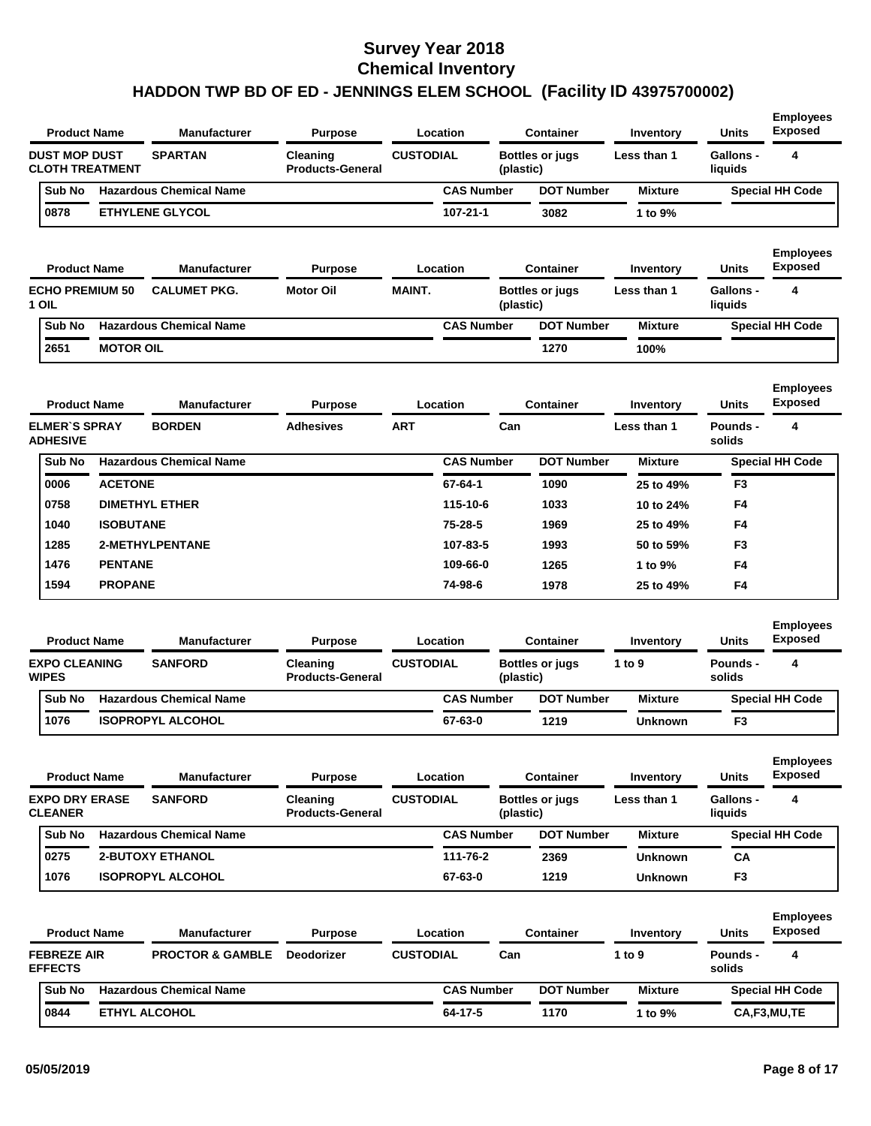| <b>Product Name</b>                            |                  | <b>Manufacturer</b>            | <b>Purpose</b>                             |                  | Location          |           | <b>Container</b>       | Inventory      | <b>Units</b>                | <b>Employees</b><br><b>Exposed</b> |
|------------------------------------------------|------------------|--------------------------------|--------------------------------------------|------------------|-------------------|-----------|------------------------|----------------|-----------------------------|------------------------------------|
| <b>DUST MOP DUST</b><br><b>CLOTH TREATMENT</b> |                  | <b>SPARTAN</b>                 | Cleaning<br><b>Products-General</b>        | <b>CUSTODIAL</b> |                   | (plastic) | <b>Bottles or jugs</b> | Less than 1    | <b>Gallons -</b><br>liquids | 4                                  |
| Sub No                                         |                  | <b>Hazardous Chemical Name</b> |                                            |                  | <b>CAS Number</b> |           | <b>DOT Number</b>      | <b>Mixture</b> |                             | <b>Special HH Code</b>             |
| 0878                                           |                  | <b>ETHYLENE GLYCOL</b>         |                                            |                  | $107 - 21 - 1$    |           | 3082                   | 1 to 9%        |                             |                                    |
| <b>Product Name</b>                            |                  | <b>Manufacturer</b>            | <b>Purpose</b>                             |                  | Location          |           | <b>Container</b>       | Inventory      | <b>Units</b>                | <b>Employees</b><br><b>Exposed</b> |
| <b>ECHO PREMIUM 50</b><br>1 OIL                |                  | <b>CALUMET PKG.</b>            | <b>Motor Oil</b>                           | <b>MAINT.</b>    |                   | (plastic) | <b>Bottles or jugs</b> | Less than 1    | Gallons -<br>liquids        | 4                                  |
| Sub No                                         |                  | <b>Hazardous Chemical Name</b> |                                            |                  | <b>CAS Number</b> |           | <b>DOT Number</b>      | <b>Mixture</b> |                             | <b>Special HH Code</b>             |
| 2651                                           | <b>MOTOR OIL</b> |                                |                                            |                  |                   |           | 1270                   | 100%           |                             |                                    |
| <b>Product Name</b>                            |                  | <b>Manufacturer</b>            | <b>Purpose</b>                             |                  | Location          |           | Container              | Inventory      | Units                       | <b>Employees</b><br><b>Exposed</b> |
| <b>ELMER'S SPRAY</b><br><b>ADHESIVE</b>        |                  | <b>BORDEN</b>                  | <b>Adhesives</b>                           | <b>ART</b>       |                   | Can       |                        | Less than 1    | Pounds -<br>solids          | 4                                  |
| Sub No                                         |                  | <b>Hazardous Chemical Name</b> |                                            |                  | <b>CAS Number</b> |           | <b>DOT Number</b>      | <b>Mixture</b> |                             | <b>Special HH Code</b>             |
| 0006                                           | <b>ACETONE</b>   |                                |                                            |                  | 67-64-1           |           | 1090                   | 25 to 49%      | F <sub>3</sub>              |                                    |
| 0758                                           |                  | <b>DIMETHYL ETHER</b>          |                                            |                  | 115-10-6          |           | 1033                   | 10 to 24%      | F <sub>4</sub>              |                                    |
| 1040                                           | <b>ISOBUTANE</b> |                                |                                            |                  | 75-28-5           |           | 1969                   | 25 to 49%      | F4                          |                                    |
| 1285                                           |                  | <b>2-METHYLPENTANE</b>         |                                            |                  | 107-83-5          |           | 1993                   | 50 to 59%      | F <sub>3</sub>              |                                    |
| 1476                                           | <b>PENTANE</b>   |                                |                                            |                  | 109-66-0          |           | 1265                   | 1 to 9%        | F4                          |                                    |
| 1594                                           | <b>PROPANE</b>   |                                |                                            |                  | 74-98-6           |           | 1978                   | 25 to 49%      | F4                          |                                    |
| <b>Product Name</b>                            |                  | <b>Manufacturer</b>            | <b>Purpose</b>                             |                  | Location          |           | <b>Container</b>       | Inventory      | Units                       | <b>Employees</b><br><b>Exposed</b> |
| <b>EXPO CLEANING</b><br><b>WIPES</b>           |                  | <b>SANFORD</b>                 | <b>Cleaning</b><br><b>Products-General</b> | <b>CUSTODIAL</b> |                   | (plastic) | <b>Bottles or jugs</b> | 1 to 9         | Pounds -<br>solids          | 4                                  |
| Sub No                                         |                  | <b>Hazardous Chemical Name</b> |                                            |                  | <b>CAS Number</b> |           | <b>DOT Number</b>      | <b>Mixture</b> |                             | <b>Special HH Code</b>             |
| 1076                                           |                  | <b>ISOPROPYL ALCOHOL</b>       |                                            |                  | 67-63-0           |           | 1219                   | Unknown        | F <sub>3</sub>              |                                    |
| <b>Product Name</b>                            |                  | <b>Manufacturer</b>            | <b>Purpose</b>                             |                  | Location          |           | <b>Container</b>       | Inventory      | <b>Units</b>                | <b>Employees</b><br><b>Exposed</b> |
| <b>EXPO DRY ERASE</b><br><b>CLEANER</b>        |                  | <b>SANFORD</b>                 | Cleaning<br><b>Products-General</b>        | <b>CUSTODIAL</b> |                   | (plastic) | <b>Bottles or jugs</b> | Less than 1    | <b>Gallons -</b><br>liquids | 4                                  |
| Sub No                                         |                  | <b>Hazardous Chemical Name</b> |                                            |                  | <b>CAS Number</b> |           | <b>DOT Number</b>      | <b>Mixture</b> |                             | <b>Special HH Code</b>             |
| 0275                                           |                  | <b>2-BUTOXY ETHANOL</b>        |                                            |                  | 111-76-2          |           | 2369                   | Unknown        | CA                          |                                    |
| 1076                                           |                  | <b>ISOPROPYL ALCOHOL</b>       |                                            |                  | 67-63-0           |           | 1219                   | <b>Unknown</b> | F <sub>3</sub>              |                                    |
| <b>Product Name</b>                            |                  | <b>Manufacturer</b>            | <b>Purpose</b>                             |                  | Location          |           | Container              | Inventory      | <b>Units</b>                | <b>Employees</b><br><b>Exposed</b> |
| <b>FEBREZE AIR</b><br><b>EFFECTS</b>           |                  | <b>PROCTOR &amp; GAMBLE</b>    | <b>Deodorizer</b>                          | <b>CUSTODIAL</b> |                   | Can       |                        | 1 to $9$       | Pounds -<br>solids          | 4                                  |
| Sub No                                         |                  | <b>Hazardous Chemical Name</b> |                                            |                  | <b>CAS Number</b> |           | <b>DOT Number</b>      | <b>Mixture</b> |                             | <b>Special HH Code</b>             |
| 0844                                           |                  | <b>ETHYL ALCOHOL</b>           |                                            |                  | 64-17-5           |           | 1170                   | 1 to 9%        |                             | CA,F3,MU,TE                        |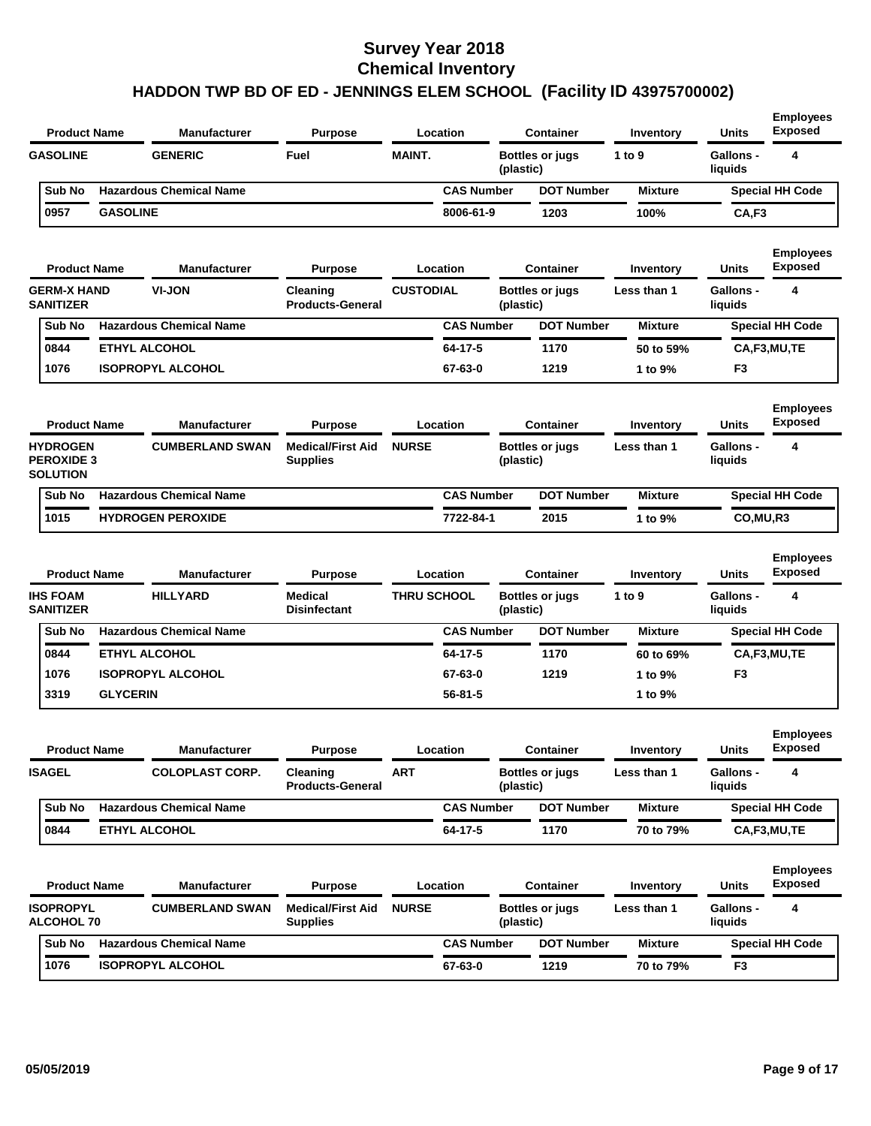| <b>Product Name</b>                                     |                 | <b>Manufacturer</b>                    | <b>Purpose</b>                              |                    | Location          |           | <b>Container</b>                           | Inventory             | <b>Units</b>                     | <b>Employees</b><br><b>Exposed</b>      |
|---------------------------------------------------------|-----------------|----------------------------------------|---------------------------------------------|--------------------|-------------------|-----------|--------------------------------------------|-----------------------|----------------------------------|-----------------------------------------|
| <b>GASOLINE</b>                                         |                 | <b>GENERIC</b>                         | Fuel                                        | <b>MAINT.</b>      |                   | (plastic) | <b>Bottles or jugs</b>                     | 1 to 9                | <b>Gallons -</b><br>liquids      | 4                                       |
| Sub No                                                  |                 | <b>Hazardous Chemical Name</b>         |                                             |                    | <b>CAS Number</b> |           | <b>DOT Number</b>                          | <b>Mixture</b>        |                                  | <b>Special HH Code</b>                  |
| 0957                                                    | <b>GASOLINE</b> |                                        |                                             |                    | 8006-61-9         |           | 1203                                       | 100%                  | CA,F3                            |                                         |
| <b>Product Name</b>                                     |                 | <b>Manufacturer</b>                    | <b>Purpose</b>                              |                    | Location          |           | <b>Container</b>                           | Inventory             | <b>Units</b>                     | <b>Employees</b><br><b>Exposed</b>      |
| <b>GERM-X HAND</b><br><b>SANITIZER</b>                  |                 | VI-JON                                 | Cleaning<br><b>Products-General</b>         | <b>CUSTODIAL</b>   |                   | (plastic) | <b>Bottles or jugs</b>                     | Less than 1           | <b>Gallons -</b><br>liquids      | 4                                       |
| Sub No                                                  |                 | <b>Hazardous Chemical Name</b>         |                                             |                    | <b>CAS Number</b> |           | <b>DOT Number</b>                          | <b>Mixture</b>        |                                  | <b>Special HH Code</b>                  |
| 0844                                                    |                 | <b>ETHYL ALCOHOL</b>                   |                                             |                    | 64-17-5           |           | 1170                                       | 50 to 59%             |                                  | CA,F3,MU,TE                             |
| 1076                                                    |                 | <b>ISOPROPYL ALCOHOL</b>               |                                             |                    | 67-63-0           |           | 1219                                       | 1 to 9%               | F <sub>3</sub>                   |                                         |
| <b>Product Name</b>                                     |                 | <b>Manufacturer</b>                    | <b>Purpose</b>                              |                    | Location          |           | <b>Container</b>                           | Inventory             | <b>Units</b>                     | <b>Employees</b><br><b>Exposed</b>      |
| <b>HYDROGEN</b><br><b>PEROXIDE 3</b><br><b>SOLUTION</b> |                 | <b>CUMBERLAND SWAN</b>                 | <b>Medical/First Aid</b><br><b>Supplies</b> | <b>NURSE</b>       |                   | (plastic) | <b>Bottles or jugs</b>                     | Less than 1           | <b>Gallons -</b><br>liquids      | 4                                       |
| Sub No                                                  |                 | <b>Hazardous Chemical Name</b>         |                                             |                    | <b>CAS Number</b> |           | <b>DOT Number</b>                          | <b>Mixture</b>        |                                  | <b>Special HH Code</b>                  |
| 1015                                                    |                 | <b>HYDROGEN PEROXIDE</b>               |                                             |                    | 7722-84-1         |           | 2015                                       | 1 to 9%               | CO, MU, R3                       |                                         |
| <b>Product Name</b><br><b>IHS FOAM</b>                  |                 | <b>Manufacturer</b><br><b>HILLYARD</b> | <b>Purpose</b><br><b>Medical</b>            | <b>THRU SCHOOL</b> | Location          |           | <b>Container</b><br><b>Bottles or jugs</b> | Inventory<br>1 to $9$ | <b>Units</b><br><b>Gallons -</b> | <b>Employees</b><br><b>Exposed</b><br>4 |
| <b>SANITIZER</b>                                        |                 |                                        | <b>Disinfectant</b>                         |                    |                   | (plastic) |                                            |                       | liquids                          |                                         |
| Sub No                                                  |                 | <b>Hazardous Chemical Name</b>         |                                             |                    | <b>CAS Number</b> |           | <b>DOT Number</b>                          | <b>Mixture</b>        |                                  | <b>Special HH Code</b>                  |
| 0844                                                    |                 | <b>ETHYL ALCOHOL</b>                   |                                             |                    | 64-17-5           |           | 1170                                       | 60 to 69%             |                                  | CA,F3,MU,TE                             |
| 1076                                                    |                 | <b>ISOPROPYL ALCOHOL</b>               |                                             |                    | 67-63-0           |           | 1219                                       | 1 to 9%               | F <sub>3</sub>                   |                                         |
| 3319                                                    | <b>GLYCERIN</b> |                                        |                                             |                    | $56 - 81 - 5$     |           |                                            | 1 to 9%               |                                  |                                         |
| <b>Product Name</b>                                     |                 | Manufacturer                           | <b>Purpose</b>                              |                    | Location          |           | Container                                  | Inventory             | Units                            | <b>Employees</b><br><b>Exposed</b>      |
| <b>ISAGEL</b>                                           |                 | <b>COLOPLAST CORP.</b>                 | Cleaning<br><b>Products-General</b>         | <b>ART</b>         |                   | (plastic) | <b>Bottles or jugs</b>                     | Less than 1           | Gallons -<br>liquids             | 4                                       |
| Sub No                                                  |                 | <b>Hazardous Chemical Name</b>         |                                             |                    | <b>CAS Number</b> |           | <b>DOT Number</b>                          | <b>Mixture</b>        |                                  | <b>Special HH Code</b>                  |
| 0844                                                    |                 | ETHYL ALCOHOL                          |                                             |                    | 64-17-5           |           | 1170                                       | 70 to 79%             |                                  | CA,F3,MU,TE                             |
|                                                         |                 |                                        |                                             |                    |                   |           |                                            |                       |                                  | <b>Employees</b>                        |
| <b>Product Name</b>                                     |                 | <b>Manufacturer</b>                    | <b>Purpose</b>                              |                    | Location          |           | <b>Container</b>                           | Inventory             | Units                            | <b>Exposed</b>                          |
| <b>ISOPROPYL</b><br><b>ALCOHOL 70</b>                   |                 | <b>CUMBERLAND SWAN</b>                 | <b>Medical/First Aid</b><br><b>Supplies</b> | <b>NURSE</b>       |                   | (plastic) | <b>Bottles or jugs</b>                     | Less than 1           | <b>Gallons -</b><br>liquids      | 4                                       |
| Sub No                                                  |                 | <b>Hazardous Chemical Name</b>         |                                             |                    | <b>CAS Number</b> |           | <b>DOT Number</b>                          | <b>Mixture</b>        |                                  | <b>Special HH Code</b>                  |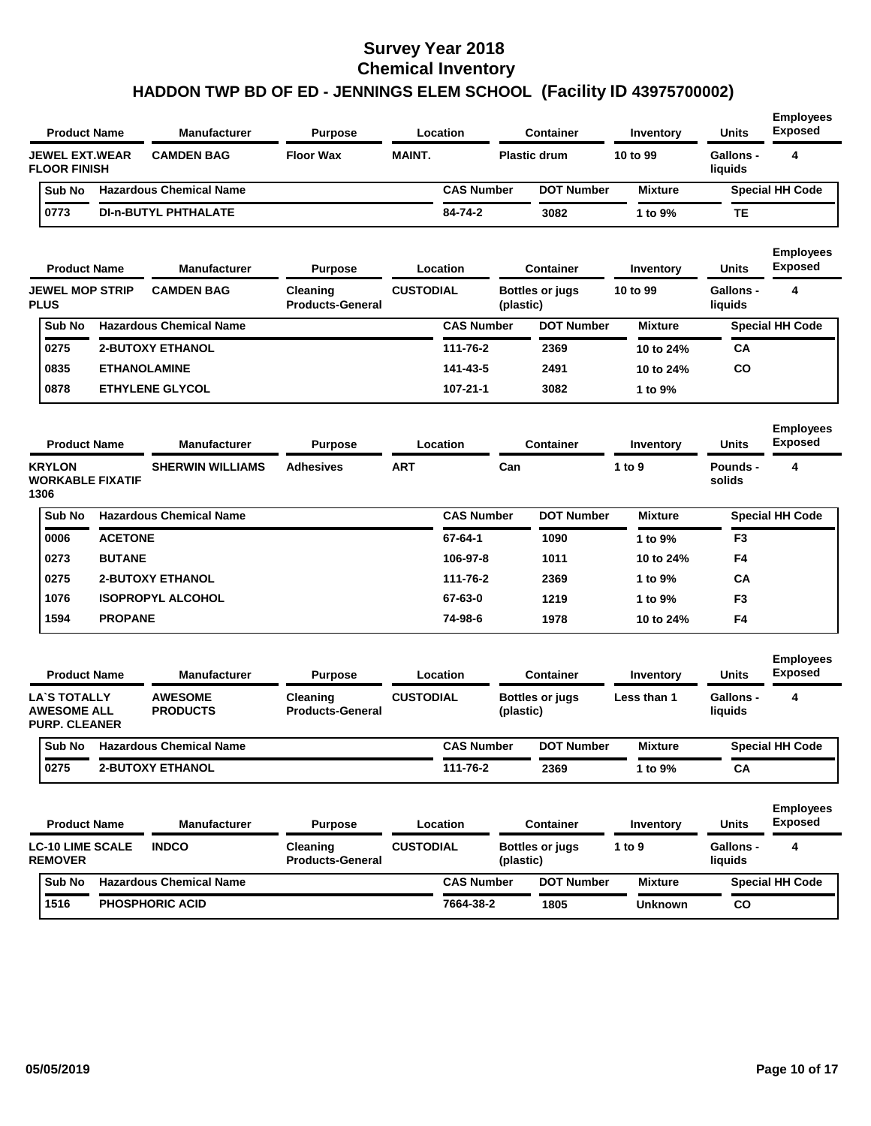| <b>Product Name</b> |                       | <b>Manufacturer</b>            | <b>Purpose</b>   |               | Location            | <b>Container</b>                               | Inventory                  | <b>Units</b>                | <b>Employees</b><br><b>Exposed</b> |
|---------------------|-----------------------|--------------------------------|------------------|---------------|---------------------|------------------------------------------------|----------------------------|-----------------------------|------------------------------------|
| <b>FLOOR FINISH</b> | <b>JEWEL EXT.WEAR</b> | <b>CAMDEN BAG</b>              | <b>Floor Wax</b> | <b>MAINT.</b> |                     | <b>Plastic drum</b>                            | 10 to 99                   | <b>Gallons -</b><br>liquids | 4                                  |
| Sub No              |                       | <b>Hazardous Chemical Name</b> |                  |               | <b>CAS Number</b>   | <b>DOT Number</b>                              | <b>Mixture</b>             |                             | <b>Special HH Code</b>             |
| 0773                |                       | <b>DI-n-BUTYL PHTHALATE</b>    |                  |               | 84-74-2             | 3082                                           | 1 to 9%                    | TΕ                          |                                    |
|                     | Property and March 21 |                                |                  |               | $1 - 2 - 3 + 1 - 1$ | $\mathbf{A}$ and $\mathbf{A}$ and $\mathbf{A}$ | the compact of the company |                             | <b>Employees</b><br>Evnocad        |

| <b>Product Name</b>                   | <b>Manufacturer</b><br>Location<br><b>Purpose</b> |                                | Container                           | Inventory | <b>Units</b>      | <b>Exposed</b>                      |                |                             |                        |
|---------------------------------------|---------------------------------------------------|--------------------------------|-------------------------------------|-----------|-------------------|-------------------------------------|----------------|-----------------------------|------------------------|
| <b>JEWEL MOP STRIP</b><br><b>PLUS</b> |                                                   | <b>CAMDEN BAG</b>              | Cleaning<br><b>Products-General</b> |           | <b>CUSTODIAL</b>  | <b>Bottles or jugs</b><br>(plastic) | 10 to 99       | <b>Gallons -</b><br>liauids | 4                      |
| Sub No                                |                                                   | <b>Hazardous Chemical Name</b> |                                     |           | <b>CAS Number</b> | <b>DOT Number</b>                   | <b>Mixture</b> |                             | <b>Special HH Code</b> |
| 0275                                  |                                                   | <b>2-BUTOXY ETHANOL</b>        |                                     |           | 111-76-2          | 2369                                | 10 to 24%      | CA                          |                        |
| 0835                                  | <b>ETHANOLAMINE</b>                               |                                |                                     |           | 141-43-5          | 2491                                | 10 to 24%      | <b>CO</b>                   |                        |
| 0878                                  |                                                   | <b>ETHYLENE GLYCOL</b>         |                                     |           | 107-21-1          | 3082                                | 1 to 9%        |                             |                        |

| <b>Product Name</b>                              |                | <b>Manufacturer</b>            | <b>Purpose</b>   |            | Location          | <b>Container</b>  | Inventory      | <b>Units</b>       | <b>Employees</b><br><b>Exposed</b> |
|--------------------------------------------------|----------------|--------------------------------|------------------|------------|-------------------|-------------------|----------------|--------------------|------------------------------------|
| <b>KRYLON</b><br><b>WORKABLE FIXATIF</b><br>1306 |                | <b>SHERWIN WILLIAMS</b>        | <b>Adhesives</b> | <b>ART</b> | Can               |                   | 1 to 9         | Pounds -<br>solids | 4                                  |
| Sub No                                           |                | <b>Hazardous Chemical Name</b> |                  |            | <b>CAS Number</b> | <b>DOT Number</b> | <b>Mixture</b> |                    | <b>Special HH Code</b>             |
| 0006                                             | <b>ACETONE</b> |                                |                  |            | 67-64-1           | 1090              | 1 to 9%        | F <sub>3</sub>     |                                    |
| 0273                                             | <b>BUTANE</b>  |                                |                  |            | 106-97-8          | 1011              | 10 to 24%      | F <sub>4</sub>     |                                    |
| 0275                                             |                | <b>2-BUTOXY ETHANOL</b>        |                  |            | 111-76-2          | 2369              | 1 to 9%        | CA                 |                                    |
| 1076                                             |                | <b>ISOPROPYL ALCOHOL</b>       |                  |            | 67-63-0           | 1219              | 1 to 9%        | F <sub>3</sub>     |                                    |
| 1594                                             | <b>PROPANE</b> |                                |                  |            | 74-98-6           | 1978              | 10 to 24%      | F <sub>4</sub>     |                                    |

| <b>Manufacturer</b><br><b>Product Name</b>                 |  |                                   | <b>Purpose</b>                      | Location         |                   | Container              | Inventory      | <b>Units</b>                | <b>Employees</b><br><b>Exposed</b> |
|------------------------------------------------------------|--|-----------------------------------|-------------------------------------|------------------|-------------------|------------------------|----------------|-----------------------------|------------------------------------|
| LA`S TOTALLY<br><b>AWESOME ALL</b><br><b>PURP. CLEANER</b> |  | <b>AWESOME</b><br><b>PRODUCTS</b> | Cleaning<br><b>Products-General</b> | <b>CUSTODIAL</b> | (plastic)         | <b>Bottles or jugs</b> | Less than 1    | <b>Gallons -</b><br>liauids | 4                                  |
| <b>Sub No</b>                                              |  | <b>Hazardous Chemical Name</b>    |                                     |                  | <b>CAS Number</b> | <b>DOT Number</b>      | <b>Mixture</b> |                             | <b>Special HH Code</b>             |
| 0275                                                       |  | <b>2-BUTOXY ETHANOL</b>           |                                     |                  | 111-76-2          | 2369                   | 1 to $9\%$     | СA                          |                                    |

| <b>Product Name</b>                       |  | <b>Manufacturer</b>            | <b>Purpose</b>                      |                  | Location          |           | <b>Container</b>       | Inventory      | <b>Units</b>                | <b>Employees</b><br><b>Exposed</b> |
|-------------------------------------------|--|--------------------------------|-------------------------------------|------------------|-------------------|-----------|------------------------|----------------|-----------------------------|------------------------------------|
| <b>LC-10 LIME SCALE</b><br><b>REMOVER</b> |  | <b>INDCO</b>                   | Cleaning<br><b>Products-General</b> | <b>CUSTODIAL</b> |                   | (plastic) | <b>Bottles or jugs</b> | 1 to 9         | <b>Gallons -</b><br>liquids | 4                                  |
| <b>Sub No</b>                             |  | <b>Hazardous Chemical Name</b> |                                     |                  | <b>CAS Number</b> |           | <b>DOT Number</b>      | Mixture        |                             | <b>Special HH Code</b>             |
| 1516                                      |  | <b>PHOSPHORIC ACID</b>         |                                     |                  | 7664-38-2         |           | 1805                   | <b>Unknown</b> | CO                          |                                    |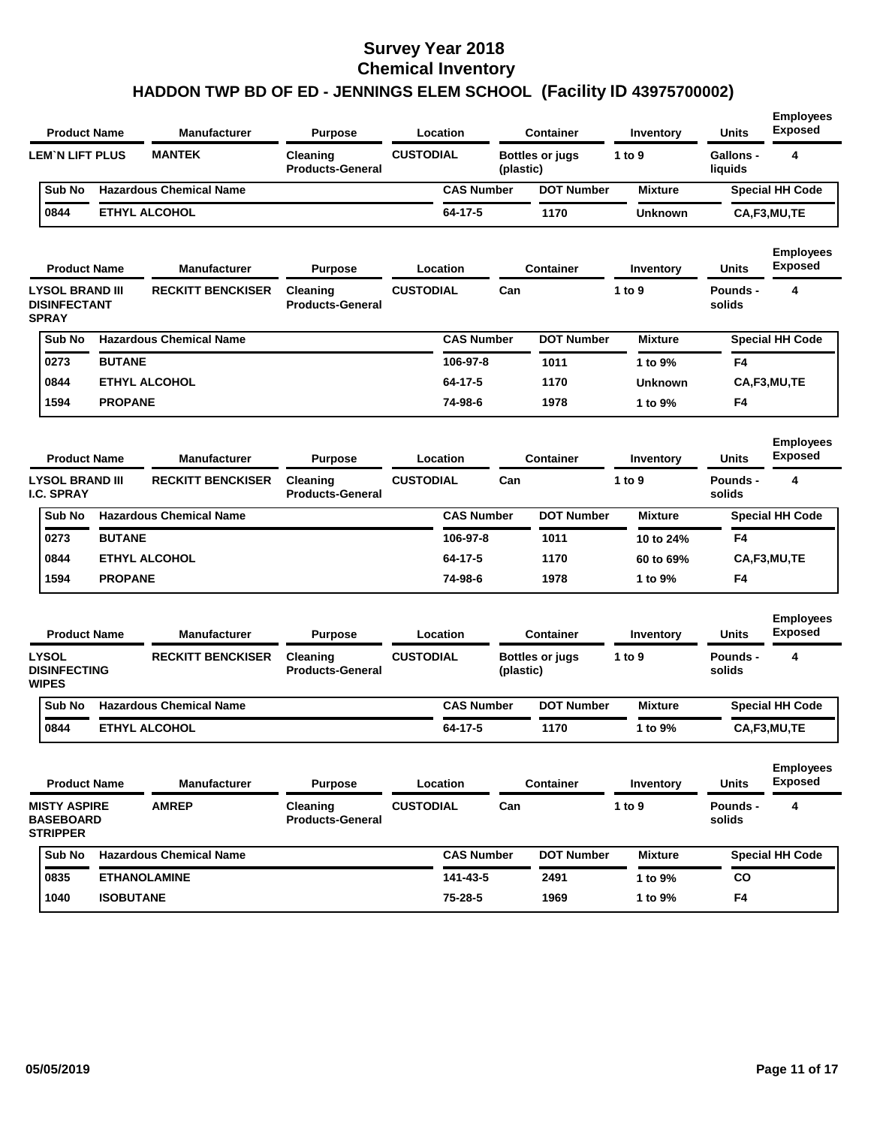|                                                               | <b>Product Name</b> | <b>Manufacturer</b>            | <b>Purpose</b>                             | Location          |           | <b>Container</b>       | Inventory      | <b>Units</b>                | <b>Employees</b><br><b>Exposed</b> |
|---------------------------------------------------------------|---------------------|--------------------------------|--------------------------------------------|-------------------|-----------|------------------------|----------------|-----------------------------|------------------------------------|
| <b>LEM'N LIFT PLUS</b>                                        |                     | <b>MANTEK</b>                  | Cleaning<br><b>Products-General</b>        | <b>CUSTODIAL</b>  | (plastic) | <b>Bottles or jugs</b> | 1 to $9$       | <b>Gallons -</b><br>liquids | 4                                  |
| Sub No                                                        |                     | <b>Hazardous Chemical Name</b> |                                            | <b>CAS Number</b> |           | <b>DOT Number</b>      | <b>Mixture</b> |                             | <b>Special HH Code</b>             |
| 0844                                                          |                     | <b>ETHYL ALCOHOL</b>           |                                            | 64-17-5           |           | 1170                   | <b>Unknown</b> |                             | CA,F3,MU,TE                        |
|                                                               | <b>Product Name</b> | <b>Manufacturer</b>            | <b>Purpose</b>                             | Location          |           | Container              | Inventory      | Units                       | <b>Employees</b><br><b>Exposed</b> |
| <b>LYSOL BRAND III</b><br><b>DISINFECTANT</b><br><b>SPRAY</b> |                     | <b>RECKITT BENCKISER</b>       | Cleaning<br><b>Products-General</b>        | <b>CUSTODIAL</b>  | Can       |                        | 1 to 9         | Pounds -<br>solids          | 4                                  |
| Sub No                                                        |                     | <b>Hazardous Chemical Name</b> |                                            | <b>CAS Number</b> |           | <b>DOT Number</b>      | <b>Mixture</b> |                             | <b>Special HH Code</b>             |
| 0273                                                          | <b>BUTANE</b>       |                                |                                            | 106-97-8          |           | 1011                   | 1 to 9%        | F4                          |                                    |
| 0844                                                          |                     | <b>ETHYL ALCOHOL</b>           |                                            | 64-17-5           |           | 1170                   | <b>Unknown</b> |                             | CA,F3,MU,TE                        |
| 1594                                                          | <b>PROPANE</b>      |                                |                                            | 74-98-6           |           | 1978                   | 1 to 9%        | F4                          |                                    |
|                                                               | <b>Product Name</b> | <b>Manufacturer</b>            | <b>Purpose</b>                             | Location          |           | <b>Container</b>       | Inventory      | <b>Units</b>                | <b>Employees</b><br><b>Exposed</b> |
| <b>LYSOL BRAND III</b><br><b>I.C. SPRAY</b>                   |                     | <b>RECKITT BENCKISER</b>       | Cleaning<br><b>Products-General</b>        | <b>CUSTODIAL</b>  | Can       |                        | 1 to 9         | Pounds -<br>solids          | 4                                  |
| Sub No                                                        |                     | <b>Hazardous Chemical Name</b> |                                            | <b>CAS Number</b> |           | <b>DOT Number</b>      | <b>Mixture</b> |                             | <b>Special HH Code</b>             |
| 0273                                                          | <b>BUTANE</b>       |                                |                                            | 106-97-8          |           | 1011                   | 10 to 24%      | F4                          |                                    |
| 0844                                                          |                     | <b>ETHYL ALCOHOL</b>           |                                            | 64-17-5           |           | 1170                   | 60 to 69%      |                             | CA,F3,MU,TE                        |
| 1594                                                          | <b>PROPANE</b>      |                                |                                            | 74-98-6           |           | 1978                   | 1 to 9%        | F4                          |                                    |
|                                                               | <b>Product Name</b> | <b>Manufacturer</b>            | <b>Purpose</b>                             | Location          |           | <b>Container</b>       | Inventory      | <b>Units</b>                | <b>Employees</b><br><b>Exposed</b> |
| <b>LYSOL</b><br><b>DISINFECTING</b><br><b>WIPES</b>           |                     | <b>RECKITT BENCKISER</b>       | Cleaning<br><b>Products-General</b>        | <b>CUSTODIAL</b>  | (plastic) | <b>Bottles or jugs</b> | 1 to 9         | Pounds -<br>solids          | 4                                  |
| Sub No                                                        |                     | <b>Hazardous Chemical Name</b> |                                            | <b>CAS Number</b> |           | <b>DOT Number</b>      | <b>Mixture</b> |                             | <b>Special HH Code</b>             |
| 0844                                                          |                     | <b>ETHYL ALCOHOL</b>           |                                            | 64-17-5           |           | 1170                   | 1 to 9%        |                             | CA,F3,MU,TE                        |
|                                                               | <b>Product Name</b> | <b>Manufacturer</b>            | <b>Purpose</b>                             | Location          |           | <b>Container</b>       | Inventory      | <b>Units</b>                | <b>Employees</b><br><b>Exposed</b> |
| <b>MISTY ASPIRE</b><br><b>BASEBOARD</b><br><b>STRIPPER</b>    |                     | <b>AMREP</b>                   | <b>Cleaning</b><br><b>Products-General</b> | <b>CUSTODIAL</b>  | Can       |                        | 1 to 9         | Pounds -<br>solids          | 4                                  |
| Sub No                                                        |                     | <b>Hazardous Chemical Name</b> |                                            | <b>CAS Number</b> |           | <b>DOT Number</b>      | <b>Mixture</b> |                             | <b>Special HH Code</b>             |
| 0835                                                          |                     | <b>ETHANOLAMINE</b>            |                                            | 141-43-5          |           | 2491                   | 1 to $9\%$     | CO                          |                                    |
| 1040                                                          | <b>ISOBUTANE</b>    |                                |                                            | 75-28-5           |           | 1969                   | 1 to 9%        |                             |                                    |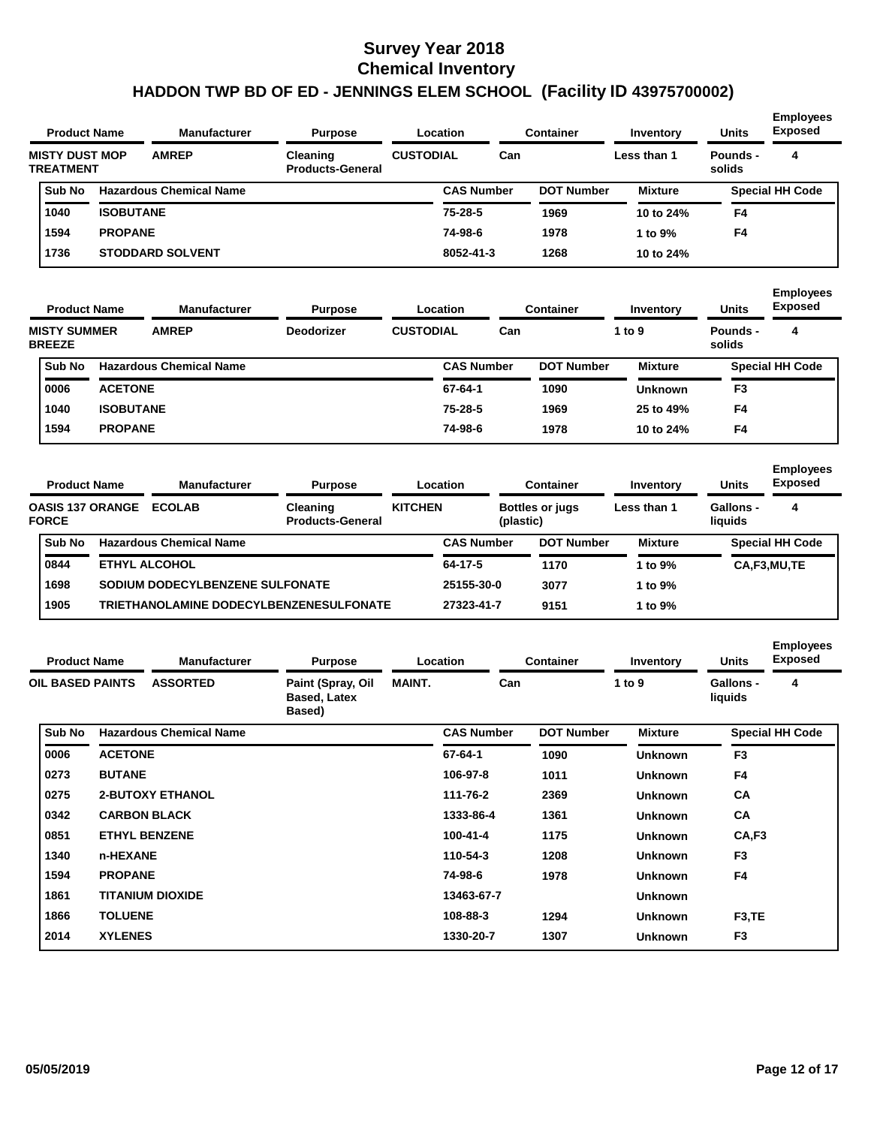| <b>Product Name</b>                       |                  | <b>Manufacturer</b>            | <b>Purpose</b>                             |                  | Location          |     | <b>Container</b>  | Inventory      | <b>Units</b>       | Employees<br><b>Exposed</b> |
|-------------------------------------------|------------------|--------------------------------|--------------------------------------------|------------------|-------------------|-----|-------------------|----------------|--------------------|-----------------------------|
| <b>MISTY DUST MOP</b><br><b>TREATMENT</b> |                  | <b>AMREP</b>                   | <b>Cleaning</b><br><b>Products-General</b> | <b>CUSTODIAL</b> |                   | Can |                   | Less than 1    | Pounds -<br>solids | 4                           |
| Sub No                                    |                  | <b>Hazardous Chemical Name</b> |                                            |                  | <b>CAS Number</b> |     | <b>DOT Number</b> | <b>Mixture</b> |                    | <b>Special HH Code</b>      |
| 1040                                      | <b>ISOBUTANE</b> |                                |                                            |                  | 75-28-5           |     | 1969              | 10 to 24%      | F4                 |                             |
| 1594                                      | <b>PROPANE</b>   |                                |                                            |                  | 74-98-6           |     | 1978              | 1 to 9%        | F4                 |                             |
| 1736                                      |                  | <b>STODDARD SOLVENT</b>        |                                            |                  | 8052-41-3         |     | 1268              | 10 to 24%      |                    |                             |

| <b>Product Name</b> |                                      |                  | <b>Manufacturer</b>            | <b>Purpose</b>    |                  | <b>Location</b>   |     | <b>Container</b>  | Inventory      | <b>Units</b>       | <b>Employees</b><br><b>Exposed</b> |
|---------------------|--------------------------------------|------------------|--------------------------------|-------------------|------------------|-------------------|-----|-------------------|----------------|--------------------|------------------------------------|
|                     | <b>MISTY SUMMER</b><br><b>BREEZE</b> |                  | <b>AMREP</b>                   | <b>Deodorizer</b> | <b>CUSTODIAL</b> |                   | Can |                   | 1 to $9$       | Pounds -<br>solids | 4                                  |
|                     | <b>Sub No</b>                        |                  | <b>Hazardous Chemical Name</b> |                   |                  | <b>CAS Number</b> |     | <b>DOT Number</b> | <b>Mixture</b> |                    | <b>Special HH Code</b>             |
|                     | 0006                                 | <b>ACETONE</b>   |                                |                   |                  | 67-64-1           |     | 1090              | <b>Unknown</b> | F <sub>3</sub>     |                                    |
|                     | 1040                                 | <b>ISOBUTANE</b> |                                |                   |                  | $75 - 28 - 5$     |     | 1969              | 25 to 49%      | F4                 |                                    |
|                     | 1594                                 | <b>PROPANE</b>   |                                |                   |                  | 74-98-6           |     | 1978              | 10 to 24%      | F4                 |                                    |

|                           | <b>Employees</b><br><b>Exposed</b>                                                         |
|---------------------------|--------------------------------------------------------------------------------------------|
| Gallons -<br>4<br>liauids |                                                                                            |
| <b>Special HH Code</b>    |                                                                                            |
| CA,F3,MU,TE               |                                                                                            |
|                           |                                                                                            |
|                           |                                                                                            |
|                           | <b>Units</b><br>Inventory<br>Less than 1<br>Mixture<br>1 to $9\%$<br>1 to $9\%$<br>1 to 9% |

| <b>Product Name</b><br>OIL BASED PAINTS |                | <b>Manufacturer</b>            | <b>Purpose</b><br><b>MAINT.</b><br>Paint (Spray, Oil<br><b>Based, Latex</b><br>Based) |  | <b>Location</b><br><b>Container</b><br>Can |                   | Inventory      | <b>Units</b>         | <b>Employees</b><br><b>Exposed</b> |  |
|-----------------------------------------|----------------|--------------------------------|---------------------------------------------------------------------------------------|--|--------------------------------------------|-------------------|----------------|----------------------|------------------------------------|--|
|                                         |                | <b>ASSORTED</b>                |                                                                                       |  |                                            |                   | 1 to 9         | Gallons -<br>liquids | 4                                  |  |
| Sub No                                  |                | <b>Hazardous Chemical Name</b> |                                                                                       |  | <b>CAS Number</b>                          | <b>DOT Number</b> | <b>Mixture</b> |                      | <b>Special HH Code</b>             |  |
| 0006                                    | <b>ACETONE</b> |                                |                                                                                       |  | 67-64-1                                    | 1090              | <b>Unknown</b> | F <sub>3</sub>       |                                    |  |
| 0273                                    | <b>BUTANE</b>  |                                |                                                                                       |  | 106-97-8                                   | 1011              | <b>Unknown</b> | F <sub>4</sub>       |                                    |  |
| 0275                                    |                | <b>2-BUTOXY ETHANOL</b>        |                                                                                       |  | 111-76-2                                   | 2369              | <b>Unknown</b> | CA                   |                                    |  |
| 0342                                    |                | <b>CARBON BLACK</b>            |                                                                                       |  | 1333-86-4                                  | 1361              | <b>Unknown</b> | <b>CA</b>            |                                    |  |
| 0851                                    |                | <b>ETHYL BENZENE</b>           |                                                                                       |  | $100 - 41 - 4$                             | 1175              | <b>Unknown</b> | CA,F3                |                                    |  |
| 1340                                    | n-HEXANE       |                                |                                                                                       |  | 110-54-3                                   | 1208              | <b>Unknown</b> | F <sub>3</sub>       |                                    |  |
| 1594                                    | <b>PROPANE</b> |                                |                                                                                       |  | 74-98-6                                    | 1978              | <b>Unknown</b> | F4                   |                                    |  |
| 1861                                    |                | <b>TITANIUM DIOXIDE</b>        |                                                                                       |  | 13463-67-7                                 |                   | <b>Unknown</b> |                      |                                    |  |
| 1866                                    | <b>TOLUENE</b> |                                |                                                                                       |  | 108-88-3                                   | 1294              | <b>Unknown</b> | F <sub>3</sub> ,TE   |                                    |  |
| 2014                                    | <b>XYLENES</b> |                                |                                                                                       |  | 1330-20-7                                  | 1307              | <b>Unknown</b> | F <sub>3</sub>       |                                    |  |
|                                         |                |                                |                                                                                       |  |                                            |                   |                |                      |                                    |  |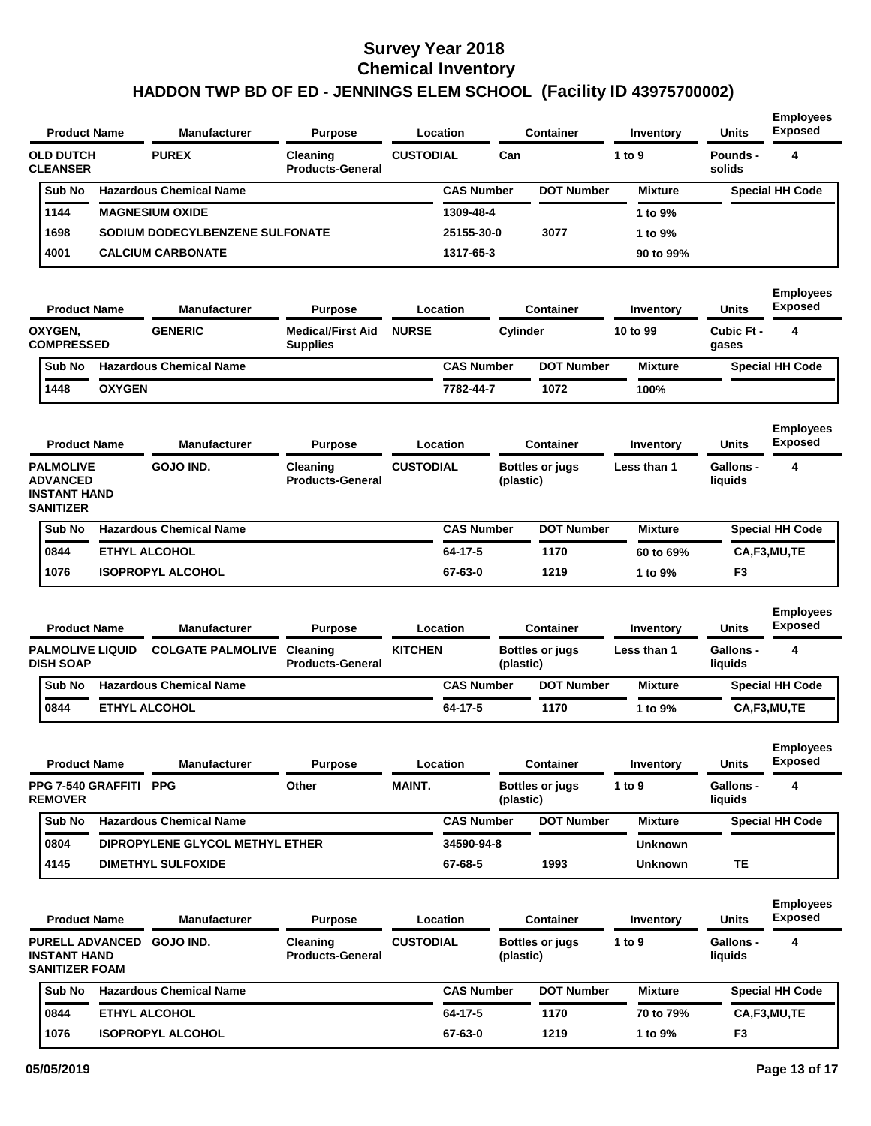| <b>Product Name</b>                          | <b>Manufacturer</b>                                                                    | <b>Purpose</b>                                                                                                                          |                                 | Location          |                                          | <b>Container</b>                                                                            | Inventory                                                                               | <b>Units</b>                | <b>Employees</b><br><b>Exposed</b>         |
|----------------------------------------------|----------------------------------------------------------------------------------------|-----------------------------------------------------------------------------------------------------------------------------------------|---------------------------------|-------------------|------------------------------------------|---------------------------------------------------------------------------------------------|-----------------------------------------------------------------------------------------|-----------------------------|--------------------------------------------|
| <b>OLD DUTCH</b>                             | <b>PUREX</b>                                                                           | Cleaning<br><b>Products-General</b>                                                                                                     | <b>CUSTODIAL</b>                |                   | Can                                      |                                                                                             | 1 to 9                                                                                  | <b>Pounds -</b><br>solids   | 4                                          |
|                                              |                                                                                        |                                                                                                                                         |                                 |                   |                                          | <b>DOT Number</b>                                                                           | <b>Mixture</b>                                                                          |                             | <b>Special HH Code</b>                     |
|                                              |                                                                                        |                                                                                                                                         |                                 |                   |                                          |                                                                                             | 1 to 9%                                                                                 |                             |                                            |
|                                              |                                                                                        |                                                                                                                                         |                                 |                   |                                          | 3077                                                                                        | 1 to 9%                                                                                 |                             |                                            |
|                                              |                                                                                        |                                                                                                                                         |                                 |                   |                                          |                                                                                             | 90 to 99%                                                                               |                             |                                            |
|                                              | <b>Manufacturer</b>                                                                    | <b>Purpose</b>                                                                                                                          |                                 |                   |                                          |                                                                                             | Inventory                                                                               | Units                       | <b>Employees</b><br><b>Exposed</b>         |
|                                              | <b>GENERIC</b>                                                                         | <b>Medical/First Aid</b><br><b>Supplies</b>                                                                                             | <b>NURSE</b>                    |                   |                                          |                                                                                             | 10 to 99                                                                                | Cubic Ft -<br>gases         | 4                                          |
|                                              |                                                                                        |                                                                                                                                         |                                 |                   |                                          | <b>DOT Number</b>                                                                           | <b>Mixture</b>                                                                          |                             | <b>Special HH Code</b>                     |
|                                              |                                                                                        |                                                                                                                                         |                                 |                   |                                          | 1072                                                                                        | 100%                                                                                    |                             |                                            |
|                                              | <b>Manufacturer</b>                                                                    | <b>Purpose</b>                                                                                                                          |                                 |                   |                                          |                                                                                             | Inventory                                                                               | Units                       | <b>Employees</b><br><b>Exposed</b>         |
|                                              | <b>GOJO IND.</b>                                                                       | Cleaning<br><b>Products-General</b>                                                                                                     |                                 |                   |                                          |                                                                                             | Less than 1                                                                             | <b>Gallons -</b><br>liquids | 4                                          |
|                                              | <b>Hazardous Chemical Name</b>                                                         |                                                                                                                                         |                                 | <b>CAS Number</b> |                                          | <b>DOT Number</b>                                                                           | <b>Mixture</b>                                                                          |                             | <b>Special HH Code</b>                     |
|                                              |                                                                                        |                                                                                                                                         |                                 | 64-17-5           |                                          | 1170                                                                                        | 60 to 69%                                                                               |                             | CA,F3,MU,TE                                |
| <b>ETHYL ALCOHOL</b>                         |                                                                                        |                                                                                                                                         |                                 |                   |                                          |                                                                                             |                                                                                         |                             |                                            |
|                                              | <b>ISOPROPYL ALCOHOL</b>                                                               |                                                                                                                                         |                                 | 67-63-0           |                                          | 1219                                                                                        | 1 to 9%                                                                                 | F3                          |                                            |
| <b>Product Name</b>                          | Manufacturer                                                                           | <b>Purpose</b>                                                                                                                          |                                 | Location          |                                          | Container                                                                                   | Inventory                                                                               | Units                       | <b>Employees</b><br><b>Exposed</b>         |
| <b>PALMOLIVE LIQUID</b>                      | <b>COLGATE PALMOLIVE Cleaning</b>                                                      | <b>Products-General</b>                                                                                                                 | KITCHEN                         |                   | (plastic)                                | <b>Bottles or jugs</b>                                                                      | Less than 1                                                                             | <b>Gallons -</b><br>liquids | 4                                          |
|                                              | <b>Hazardous Chemical Name</b>                                                         |                                                                                                                                         |                                 | <b>CAS Number</b> |                                          | <b>DOT Number</b>                                                                           | <b>Mixture</b>                                                                          |                             | <b>Special HH Code</b>                     |
| <b>ETHYL ALCOHOL</b>                         |                                                                                        |                                                                                                                                         |                                 | 64-17-5           |                                          | 1170                                                                                        | 1 to 9%                                                                                 |                             | CA,F3,MU,TE                                |
|                                              |                                                                                        |                                                                                                                                         |                                 |                   |                                          |                                                                                             |                                                                                         |                             |                                            |
| <b>Product Name</b>                          | <b>Manufacturer</b>                                                                    | <b>Purpose</b>                                                                                                                          |                                 | Location          |                                          | <b>Container</b>                                                                            | Inventory                                                                               | Units                       | <b>Exposed</b>                             |
| <b>PPG 7-540 GRAFFITI PPG</b>                |                                                                                        | Other                                                                                                                                   | <b>MAINT.</b>                   |                   | (plastic)                                | <b>Bottles or jugs</b>                                                                      | 1 to 9                                                                                  | <b>Gallons -</b><br>liquids | 4                                          |
|                                              | <b>Hazardous Chemical Name</b>                                                         |                                                                                                                                         |                                 | <b>CAS Number</b> |                                          | <b>DOT Number</b>                                                                           | <b>Mixture</b>                                                                          |                             | <b>Employees</b><br><b>Special HH Code</b> |
|                                              | DIPROPYLENE GLYCOL METHYL ETHER                                                        |                                                                                                                                         |                                 | 34590-94-8        |                                          |                                                                                             | <b>Unknown</b>                                                                          |                             |                                            |
|                                              | <b>DIMETHYL SULFOXIDE</b>                                                              |                                                                                                                                         |                                 | 67-68-5           |                                          | 1993                                                                                        | <b>Unknown</b>                                                                          | TE.                         |                                            |
| <b>Product Name</b>                          | <b>Manufacturer</b>                                                                    | <b>Purpose</b>                                                                                                                          |                                 | Location          |                                          | <b>Container</b>                                                                            | Inventory                                                                               | Units                       | <b>Exposed</b>                             |
| <b>INSTANT HAND</b><br><b>SANITIZER FOAM</b> | PURELL ADVANCED GOJO IND.                                                              | Cleaning<br><b>Products-General</b>                                                                                                     | <b>CUSTODIAL</b>                |                   | (plastic)                                | <b>Bottles or jugs</b>                                                                      | 1 to $9$                                                                                | <b>Gallons -</b><br>liquids | 4                                          |
|                                              | <b>Hazardous Chemical Name</b>                                                         |                                                                                                                                         |                                 | <b>CAS Number</b> |                                          | <b>DOT Number</b>                                                                           | <b>Mixture</b>                                                                          |                             | <b>Special HH Code</b>                     |
| ETHYL ALCOHOL                                |                                                                                        |                                                                                                                                         |                                 | 64-17-5           |                                          | 1170                                                                                        | 70 to 79%                                                                               |                             | <b>Employees</b><br>CA,F3,MU,TE            |
| <b>PALMOLIVE</b>                             | <b>Product Name</b><br><b>COMPRESSED</b><br><b>Product Name</b><br><b>INSTANT HAND</b> | <b>Hazardous Chemical Name</b><br><b>MAGNESIUM OXIDE</b><br><b>CALCIUM CARBONATE</b><br><b>Hazardous Chemical Name</b><br><b>OXYGEN</b> | SODIUM DODECYLBENZENE SULFONATE |                   | Location<br>Location<br><b>CUSTODIAL</b> | <b>CAS Number</b><br>1309-48-4<br>25155-30-0<br>1317-65-3<br><b>CAS Number</b><br>7782-44-7 | <b>Container</b><br>Cylinder<br><b>Container</b><br><b>Bottles or jugs</b><br>(plastic) |                             |                                            |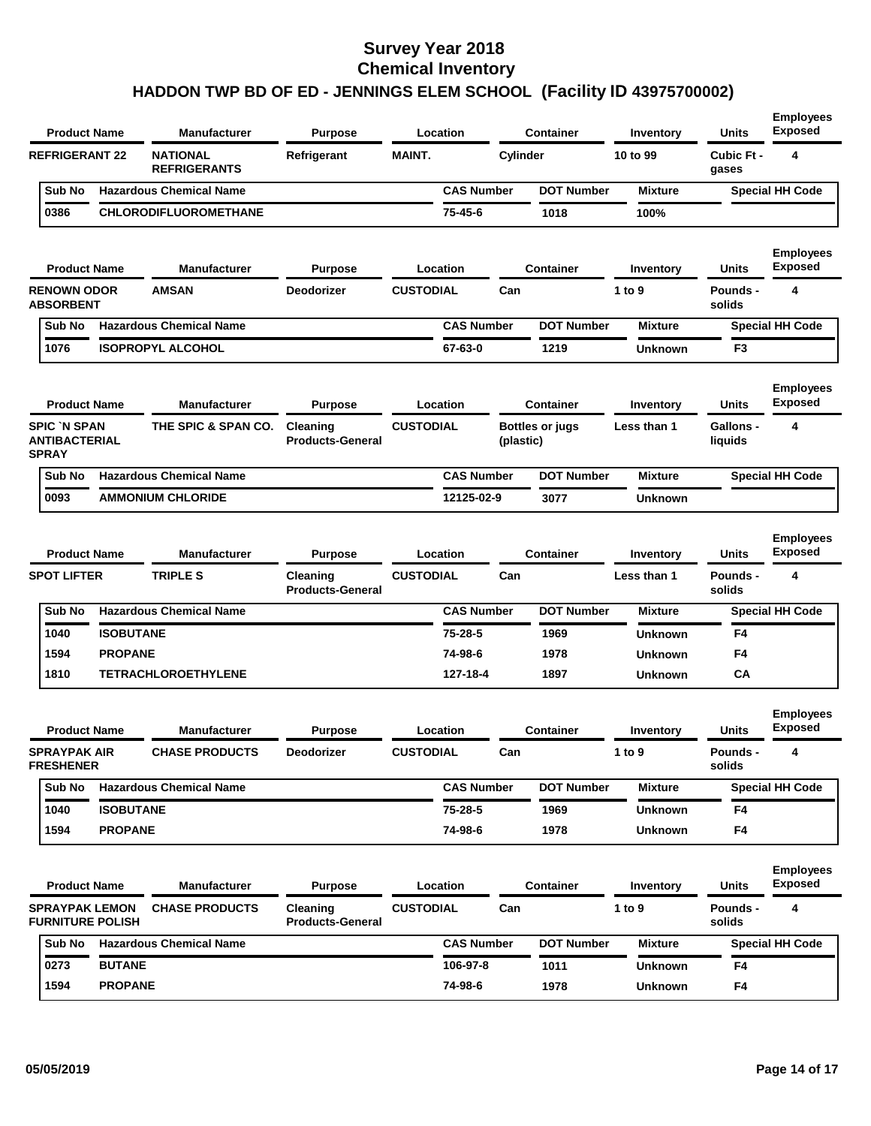| <b>Product Name</b>                                         |                  | <b>Manufacturer</b>                    | <b>Purpose</b>                      | Location         |                   | <b>Container</b>       | Inventory      | <b>Units</b>                | <b>Employees</b><br><b>Exposed</b> |
|-------------------------------------------------------------|------------------|----------------------------------------|-------------------------------------|------------------|-------------------|------------------------|----------------|-----------------------------|------------------------------------|
| <b>REFRIGERANT 22</b>                                       |                  | <b>NATIONAL</b><br><b>REFRIGERANTS</b> | Refrigerant                         | <b>MAINT.</b>    | <b>Cylinder</b>   |                        | 10 to 99       | Cubic Ft -<br>gases         | 4                                  |
| Sub No                                                      |                  | <b>Hazardous Chemical Name</b>         |                                     |                  | <b>CAS Number</b> | <b>DOT Number</b>      | <b>Mixture</b> |                             | <b>Special HH Code</b>             |
| 0386                                                        |                  | <b>CHLORODIFLUOROMETHANE</b>           |                                     | 75-45-6          |                   | 1018                   | 100%           |                             |                                    |
| <b>Product Name</b>                                         |                  | <b>Manufacturer</b>                    | <b>Purpose</b>                      | Location         |                   | <b>Container</b>       | Inventory      | <b>Units</b>                | <b>Employees</b><br><b>Exposed</b> |
| <b>RENOWN ODOR</b><br><b>ABSORBENT</b>                      |                  | <b>AMSAN</b>                           | <b>Deodorizer</b>                   | <b>CUSTODIAL</b> | Can               |                        | 1 to 9         | Pounds -<br>solids          | 4                                  |
| Sub No                                                      |                  | <b>Hazardous Chemical Name</b>         |                                     |                  | <b>CAS Number</b> | <b>DOT Number</b>      | <b>Mixture</b> |                             | <b>Special HH Code</b>             |
| 1076                                                        |                  | <b>ISOPROPYL ALCOHOL</b>               |                                     | 67-63-0          |                   | 1219                   | <b>Unknown</b> | F3                          |                                    |
| <b>Product Name</b>                                         |                  | <b>Manufacturer</b>                    | <b>Purpose</b>                      | Location         |                   | <b>Container</b>       | Inventory      | Units                       | <b>Employees</b><br><b>Exposed</b> |
| <b>SPIC 'N SPAN</b><br><b>ANTIBACTERIAL</b><br><b>SPRAY</b> |                  | THE SPIC & SPAN CO.                    | Cleaning<br><b>Products-General</b> | <b>CUSTODIAL</b> | (plastic)         | <b>Bottles or jugs</b> | Less than 1    | <b>Gallons -</b><br>liquids | 4                                  |
| Sub No                                                      |                  | <b>Hazardous Chemical Name</b>         |                                     |                  | <b>CAS Number</b> | <b>DOT Number</b>      | <b>Mixture</b> |                             | <b>Special HH Code</b>             |
| 0093                                                        |                  | <b>AMMONIUM CHLORIDE</b>               |                                     |                  | 12125-02-9        | 3077                   | <b>Unknown</b> |                             |                                    |
| <b>Product Name</b>                                         |                  | <b>Manufacturer</b>                    | <b>Purpose</b>                      | Location         |                   | <b>Container</b>       | Inventory      | Units                       | <b>Employees</b><br><b>Exposed</b> |
| <b>SPOT LIFTER</b>                                          |                  | <b>TRIPLE S</b>                        | Cleaning<br><b>Products-General</b> | <b>CUSTODIAL</b> | Can               |                        | Less than 1    | Pounds -<br>solids          | 4                                  |
| Sub No                                                      |                  | <b>Hazardous Chemical Name</b>         |                                     |                  | <b>CAS Number</b> | <b>DOT Number</b>      | <b>Mixture</b> |                             | <b>Special HH Code</b>             |
| 1040                                                        | <b>ISOBUTANE</b> |                                        |                                     | 75-28-5          |                   | 1969                   | <b>Unknown</b> | F4                          |                                    |
| 1594                                                        | <b>PROPANE</b>   |                                        |                                     | 74-98-6          |                   | 1978                   | <b>Unknown</b> | F4                          |                                    |
| 1810                                                        |                  | <b>TETRACHLOROETHYLENE</b>             |                                     | 127-18-4         |                   | 1897                   | <b>Unknown</b> | CА                          |                                    |
| <b>Product Name</b>                                         |                  | <b>Manufacturer</b>                    | <b>Purpose</b>                      | Location         |                   | <b>Container</b>       | Inventory      | <b>Units</b>                | <b>Employees</b><br><b>Exposed</b> |
| <b>SPRAYPAK AIR</b><br><b>FRESHENER</b>                     |                  | <b>CHASE PRODUCTS</b>                  | Deodorizer                          | <b>CUSTODIAL</b> | Can               |                        | 1 to 9         | Pounds -<br>solids          | 4                                  |
| Sub No                                                      |                  | <b>Hazardous Chemical Name</b>         |                                     |                  | <b>CAS Number</b> | <b>DOT Number</b>      | <b>Mixture</b> |                             | <b>Special HH Code</b>             |
| 1040                                                        | <b>ISOBUTANE</b> |                                        |                                     | 75-28-5          |                   | 1969                   | <b>Unknown</b> | F4                          |                                    |
| 1594                                                        | <b>PROPANE</b>   |                                        |                                     | 74-98-6          |                   | 1978                   | <b>Unknown</b> | F4                          |                                    |
| <b>Product Name</b>                                         |                  | <b>Manufacturer</b>                    | <b>Purpose</b>                      | Location         |                   | Container              | Inventory      | <b>Units</b>                | <b>Employees</b><br><b>Exposed</b> |
| <b>SPRAYPAK LEMON</b><br><b>FURNITURE POLISH</b>            |                  | <b>CHASE PRODUCTS</b>                  | Cleaning<br><b>Products-General</b> | <b>CUSTODIAL</b> | Can               |                        | 1 to 9         | Pounds -<br>solids          | 4                                  |
|                                                             |                  |                                        |                                     |                  |                   |                        | <b>Mixture</b> |                             |                                    |
| Sub No                                                      |                  | <b>Hazardous Chemical Name</b>         |                                     |                  | <b>CAS Number</b> | <b>DOT Number</b>      |                |                             | <b>Special HH Code</b>             |
| 0273                                                        | <b>BUTANE</b>    |                                        |                                     | 106-97-8         |                   | 1011                   | <b>Unknown</b> | F <sub>4</sub>              |                                    |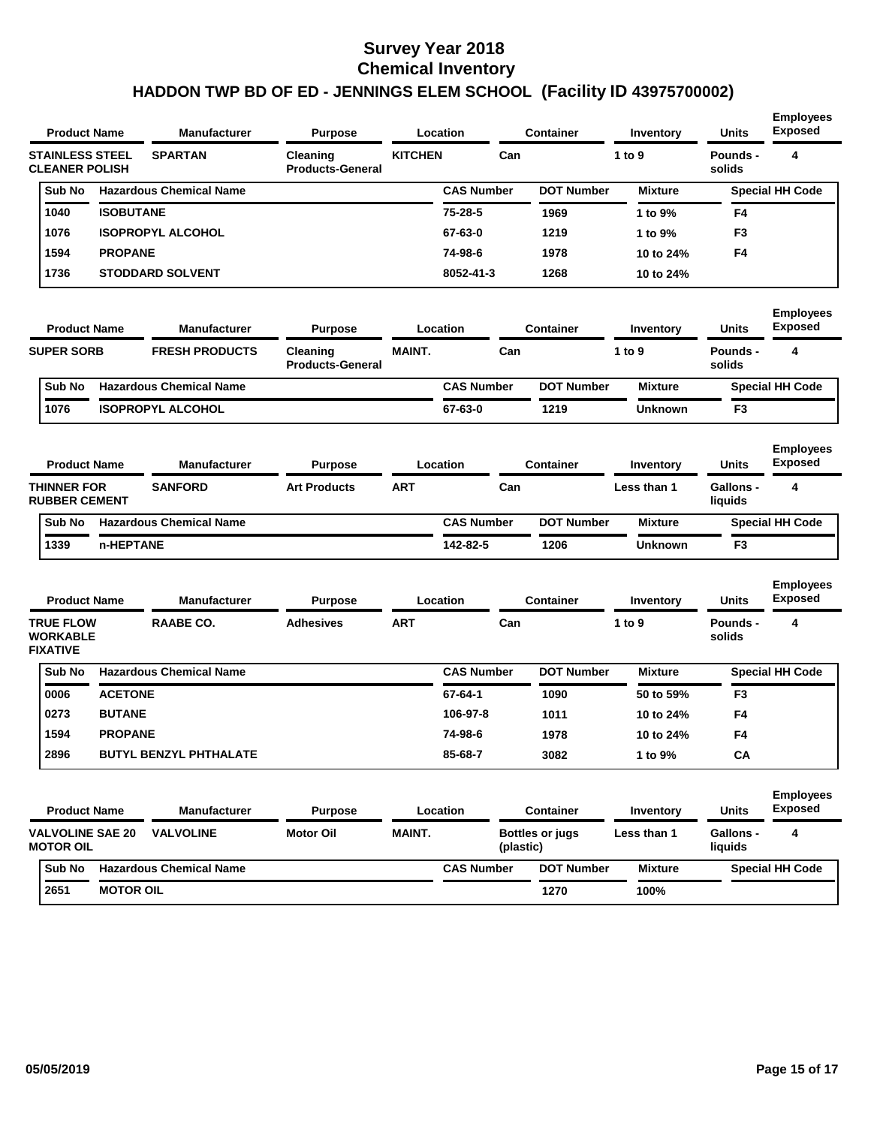|                                                              | <b>Product Name</b> |                         | <b>Manufacturer</b>            | <b>Purpose</b>                      |                | Location          |             | <b>Container</b>            | Inventory      | <b>Units</b>              | <b>Employees</b><br><b>Exposed</b> |
|--------------------------------------------------------------|---------------------|-------------------------|--------------------------------|-------------------------------------|----------------|-------------------|-------------|-----------------------------|----------------|---------------------------|------------------------------------|
| <b>CLEANER POLISH</b>                                        |                     | <b>STAINLESS STEEL</b>  | <b>SPARTAN</b>                 | Cleaning<br><b>Products-General</b> | <b>KITCHEN</b> |                   | Can         |                             | 1 to 9         | <b>Pounds -</b><br>solids | 4                                  |
|                                                              | Sub No              |                         | <b>Hazardous Chemical Name</b> |                                     |                | <b>CAS Number</b> |             | <b>DOT Number</b>           | <b>Mixture</b> |                           | <b>Special HH Code</b>             |
| 1040                                                         |                     | <b>ISOBUTANE</b>        |                                |                                     |                | 75-28-5           |             | 1969                        | 1 to 9%        | F4                        |                                    |
| 1076                                                         |                     |                         | <b>ISOPROPYL ALCOHOL</b>       |                                     |                | 67-63-0           |             | 1219                        | 1 to 9%        | F <sub>3</sub>            |                                    |
| 1594                                                         |                     | <b>PROPANE</b>          |                                |                                     |                | 74-98-6           |             | 1978                        | 10 to 24%      | F4                        |                                    |
| 1736                                                         |                     |                         | <b>STODDARD SOLVENT</b>        |                                     |                | 8052-41-3         |             | 1268                        | 10 to 24%      |                           |                                    |
|                                                              |                     | <b>Product Name</b>     | <b>Manufacturer</b>            | <b>Purpose</b>                      |                | Location          |             | <b>Container</b>            | Inventory      | <b>Units</b>              | <b>Employees</b><br><b>Exposed</b> |
| <b>SUPER SORB</b>                                            |                     |                         | <b>FRESH PRODUCTS</b>          | Cleaning<br><b>Products-General</b> | <b>MAINT.</b>  |                   | Can         |                             | 1 to 9         | <b>Pounds -</b><br>solids | 4                                  |
| Sub No                                                       |                     |                         | <b>Hazardous Chemical Name</b> |                                     |                | <b>CAS Number</b> |             | <b>DOT Number</b>           | <b>Mixture</b> |                           | <b>Special HH Code</b>             |
| 1076                                                         |                     |                         | <b>ISOPROPYL ALCOHOL</b>       |                                     |                | 67-63-0           |             | 1219                        | <b>Unknown</b> | F <sub>3</sub>            |                                    |
|                                                              |                     | <b>Product Name</b>     | <b>Manufacturer</b>            | <b>Purpose</b>                      |                | Location          |             | <b>Container</b>            | Inventory      | <b>Units</b>              | <b>Employees</b><br><b>Exposed</b> |
| <b>SANFORD</b><br><b>THINNER FOR</b><br><b>RUBBER CEMENT</b> |                     | <b>Art Products</b>     | ART                            |                                     | Can            |                   | Less than 1 | <b>Gallons -</b><br>liquids | 4              |                           |                                    |
|                                                              | Sub No              |                         | <b>Hazardous Chemical Name</b> |                                     |                | <b>CAS Number</b> |             | <b>DOT Number</b>           | <b>Mixture</b> |                           | <b>Special HH Code</b>             |
| 1339                                                         |                     | n-HEPTANE               |                                |                                     |                | 142-82-5          |             | 1206                        | <b>Unknown</b> | F <sub>3</sub>            |                                    |
|                                                              |                     | <b>Product Name</b>     | <b>Manufacturer</b>            | <b>Purpose</b>                      |                | Location          |             | <b>Container</b>            | Inventory      | <b>Units</b>              | <b>Employees</b><br><b>Exposed</b> |
| <b>TRUE FLOW</b><br><b>WORKABLE</b><br><b>FIXATIVE</b>       |                     |                         | <b>RAABE CO.</b>               | <b>Adhesives</b>                    | <b>ART</b>     |                   | Can         |                             | 1 to 9         | Pounds -<br>solids        | 4                                  |
| Sub No                                                       |                     |                         | <b>Hazardous Chemical Name</b> |                                     |                | <b>CAS Number</b> |             | <b>DOT Number</b>           | <b>Mixture</b> |                           | <b>Special HH Code</b>             |
| 0006                                                         |                     | <b>ACETONE</b>          |                                |                                     |                | 67-64-1           |             | 1090                        | 50 to 59%      | F <sub>3</sub>            |                                    |
| 0273                                                         |                     | <b>BUTANE</b>           |                                |                                     |                | 106-97-8          |             | 1011                        | 10 to 24%      | F4                        |                                    |
| 1594                                                         |                     | <b>PROPANE</b>          |                                |                                     |                | 74-98-6           |             | 1978                        | 10 to 24%      | F4                        |                                    |
| 2896                                                         |                     |                         | <b>BUTYL BENZYL PHTHALATE</b>  |                                     |                | 85-68-7           |             | 3082                        | 1 to 9%        | CA                        |                                    |
|                                                              |                     | <b>Product Name</b>     | <b>Manufacturer</b>            | <b>Purpose</b>                      |                | Location          |             | <b>Container</b>            | Inventory      | <b>Units</b>              | <b>Employees</b><br><b>Exposed</b> |
| <b>MOTOR OIL</b>                                             |                     | <b>VALVOLINE SAE 20</b> | <b>VALVOLINE</b>               | <b>Motor Oil</b>                    | <b>MAINT.</b>  |                   | (plastic)   | <b>Bottles or jugs</b>      | Less than 1    | Gallons -<br>liquids      | 4                                  |
|                                                              | Sub No              |                         | <b>Hazardous Chemical Name</b> |                                     |                | <b>CAS Number</b> |             | <b>DOT Number</b>           | <b>Mixture</b> |                           | <b>Special HH Code</b>             |
| 2651                                                         |                     | <b>MOTOR OIL</b>        |                                |                                     |                |                   |             | 1270                        | 100%           |                           |                                    |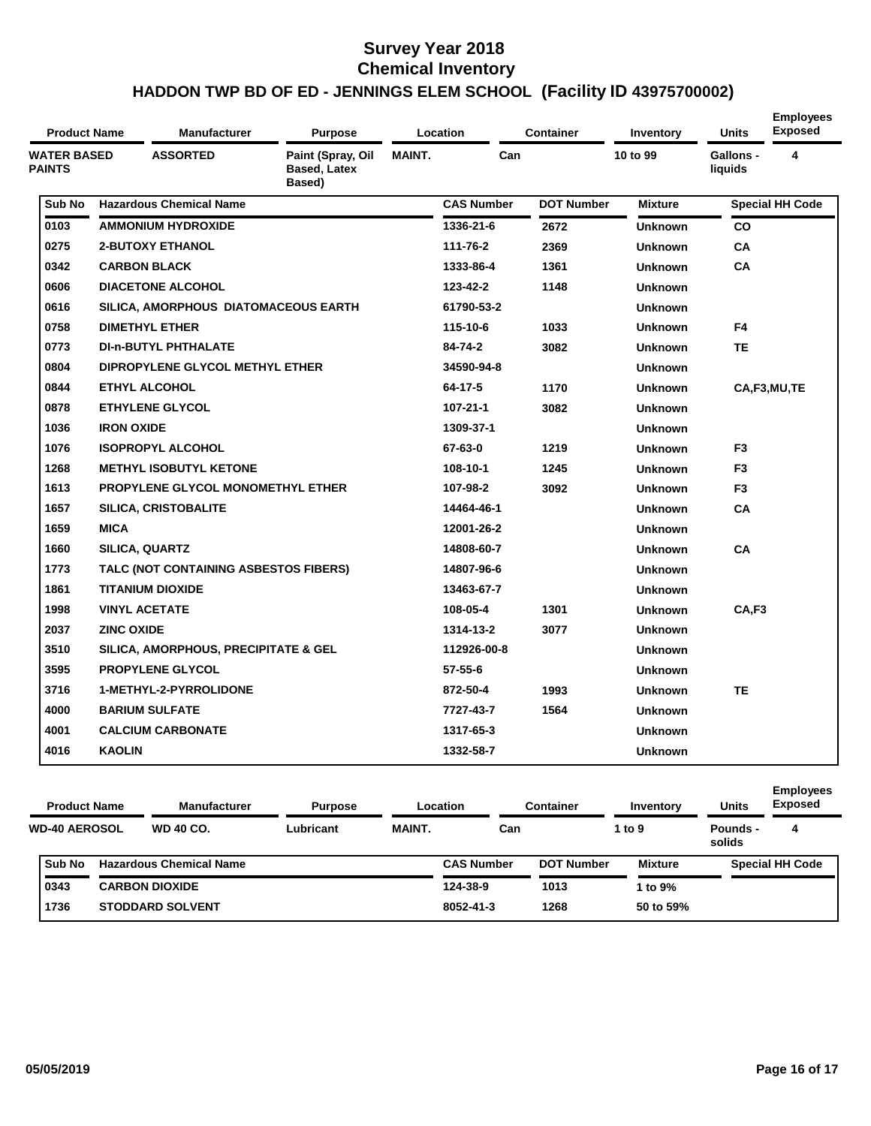| <b>Product Name</b>                 |                                      | <b>Manufacturer</b>                                                                           | <b>Purpose</b> |            | Location          | <b>Container</b>     | Inventory      | <b>Units</b>   | <b>Employees</b><br><b>Exposed</b> |
|-------------------------------------|--------------------------------------|-----------------------------------------------------------------------------------------------|----------------|------------|-------------------|----------------------|----------------|----------------|------------------------------------|
| <b>WATER BASED</b><br><b>PAINTS</b> |                                      | <b>ASSORTED</b><br><b>MAINT.</b><br>Can<br>Paint (Spray, Oil<br><b>Based, Latex</b><br>Based) |                |            | 10 to 99          | Gallons -<br>liquids | 4              |                |                                    |
| Sub No                              |                                      | <b>Hazardous Chemical Name</b>                                                                |                |            | <b>CAS Number</b> | <b>DOT Number</b>    | <b>Mixture</b> |                | <b>Special HH Code</b>             |
| 0103                                |                                      | <b>AMMONIUM HYDROXIDE</b>                                                                     |                |            | 1336-21-6         | 2672                 | <b>Unknown</b> | CO             |                                    |
| 0275                                |                                      | <b>2-BUTOXY ETHANOL</b>                                                                       |                |            | 111-76-2          | 2369                 | <b>Unknown</b> | <b>CA</b>      |                                    |
| 0342                                |                                      | <b>CARBON BLACK</b>                                                                           |                |            | 1333-86-4         | 1361                 | <b>Unknown</b> | CA             |                                    |
| 0606                                |                                      | <b>DIACETONE ALCOHOL</b>                                                                      |                |            | 123-42-2          | 1148                 | <b>Unknown</b> |                |                                    |
| 0616                                | SILICA, AMORPHOUS DIATOMACEOUS EARTH |                                                                                               |                |            | 61790-53-2        |                      | <b>Unknown</b> |                |                                    |
| 0758                                |                                      | <b>DIMETHYL ETHER</b>                                                                         |                |            | 115-10-6          | 1033                 | <b>Unknown</b> | F4             |                                    |
| 0773                                |                                      | <b>DI-n-BUTYL PHTHALATE</b>                                                                   |                |            | 84-74-2           | 3082                 | <b>Unknown</b> | <b>TE</b>      |                                    |
| 0804                                |                                      | DIPROPYLENE GLYCOL METHYL ETHER                                                               |                | 34590-94-8 |                   | <b>Unknown</b>       |                |                |                                    |
| 0844                                |                                      | <b>ETHYL ALCOHOL</b>                                                                          |                |            | 64-17-5           | 1170                 | <b>Unknown</b> |                | CA,F3,MU,TE                        |
| 0878                                |                                      | <b>ETHYLENE GLYCOL</b>                                                                        |                |            | $107 - 21 - 1$    | 3082                 | <b>Unknown</b> |                |                                    |
| 1036                                | <b>IRON OXIDE</b>                    |                                                                                               |                |            | 1309-37-1         |                      | <b>Unknown</b> |                |                                    |
| 1076                                |                                      | <b>ISOPROPYL ALCOHOL</b>                                                                      |                |            | 67-63-0           | 1219                 | <b>Unknown</b> | F <sub>3</sub> |                                    |
| 1268                                |                                      | <b>METHYL ISOBUTYL KETONE</b>                                                                 |                |            | 108-10-1          | 1245                 | <b>Unknown</b> | F <sub>3</sub> |                                    |
| 1613                                |                                      | PROPYLENE GLYCOL MONOMETHYL ETHER                                                             |                |            | 107-98-2          | 3092                 | <b>Unknown</b> | F <sub>3</sub> |                                    |
| 1657                                |                                      | <b>SILICA, CRISTOBALITE</b>                                                                   |                |            | 14464-46-1        |                      | <b>Unknown</b> | <b>CA</b>      |                                    |
| 1659                                | <b>MICA</b>                          |                                                                                               |                |            | 12001-26-2        |                      | <b>Unknown</b> |                |                                    |
| 1660                                |                                      | SILICA, QUARTZ                                                                                |                |            | 14808-60-7        |                      | <b>Unknown</b> | <b>CA</b>      |                                    |
| 1773                                |                                      | TALC (NOT CONTAINING ASBESTOS FIBERS)                                                         |                |            | 14807-96-6        |                      | <b>Unknown</b> |                |                                    |
| 1861                                |                                      | <b>TITANIUM DIOXIDE</b>                                                                       |                |            | 13463-67-7        |                      | <b>Unknown</b> |                |                                    |
| 1998                                |                                      | <b>VINYL ACETATE</b>                                                                          |                |            | 108-05-4          | 1301                 | <b>Unknown</b> | CA,F3          |                                    |
| 2037                                | <b>ZINC OXIDE</b>                    |                                                                                               |                |            | 1314-13-2         | 3077                 | <b>Unknown</b> |                |                                    |
| 3510                                |                                      | SILICA, AMORPHOUS, PRECIPITATE & GEL                                                          |                |            | 112926-00-8       |                      | <b>Unknown</b> |                |                                    |
| 3595                                |                                      | <b>PROPYLENE GLYCOL</b>                                                                       |                |            | $57 - 55 - 6$     |                      | <b>Unknown</b> |                |                                    |
| 3716                                |                                      | 1-METHYL-2-PYRROLIDONE                                                                        |                |            | 872-50-4          | 1993                 | <b>Unknown</b> | <b>TE</b>      |                                    |
| 4000                                |                                      | <b>BARIUM SULFATE</b>                                                                         |                |            | 7727-43-7         | 1564                 | <b>Unknown</b> |                |                                    |
| 4001                                |                                      | <b>CALCIUM CARBONATE</b>                                                                      |                |            | 1317-65-3         |                      | <b>Unknown</b> |                |                                    |
| 4016                                | <b>KAOLIN</b>                        |                                                                                               |                |            | 1332-58-7         |                      | <b>Unknown</b> |                |                                    |

| <b>Product Name</b> |                      | <b>Manufacturer</b>            | <b>Purpose</b> |               | Location          | Container         | Inventory      | <b>Units</b>       | <b>Employees</b><br><b>Exposed</b> |
|---------------------|----------------------|--------------------------------|----------------|---------------|-------------------|-------------------|----------------|--------------------|------------------------------------|
|                     | <b>WD-40 AEROSOL</b> | <b>WD 40 CO.</b>               | Lubricant      | <b>MAINT.</b> | Can               |                   | 1 to $9$       | Pounds -<br>solids | 4                                  |
|                     | Sub No               | <b>Hazardous Chemical Name</b> |                |               | <b>CAS Number</b> | <b>DOT Number</b> | <b>Mixture</b> |                    | <b>Special HH Code</b>             |
|                     | 0343                 | <b>CARBON DIOXIDE</b>          |                |               | 124-38-9          | 1013              | 1 to $9\%$     |                    |                                    |
|                     | 1736                 | <b>STODDARD SOLVENT</b>        |                |               | 8052-41-3         | 1268              | 50 to 59%      |                    |                                    |
|                     |                      |                                |                |               |                   |                   |                |                    |                                    |